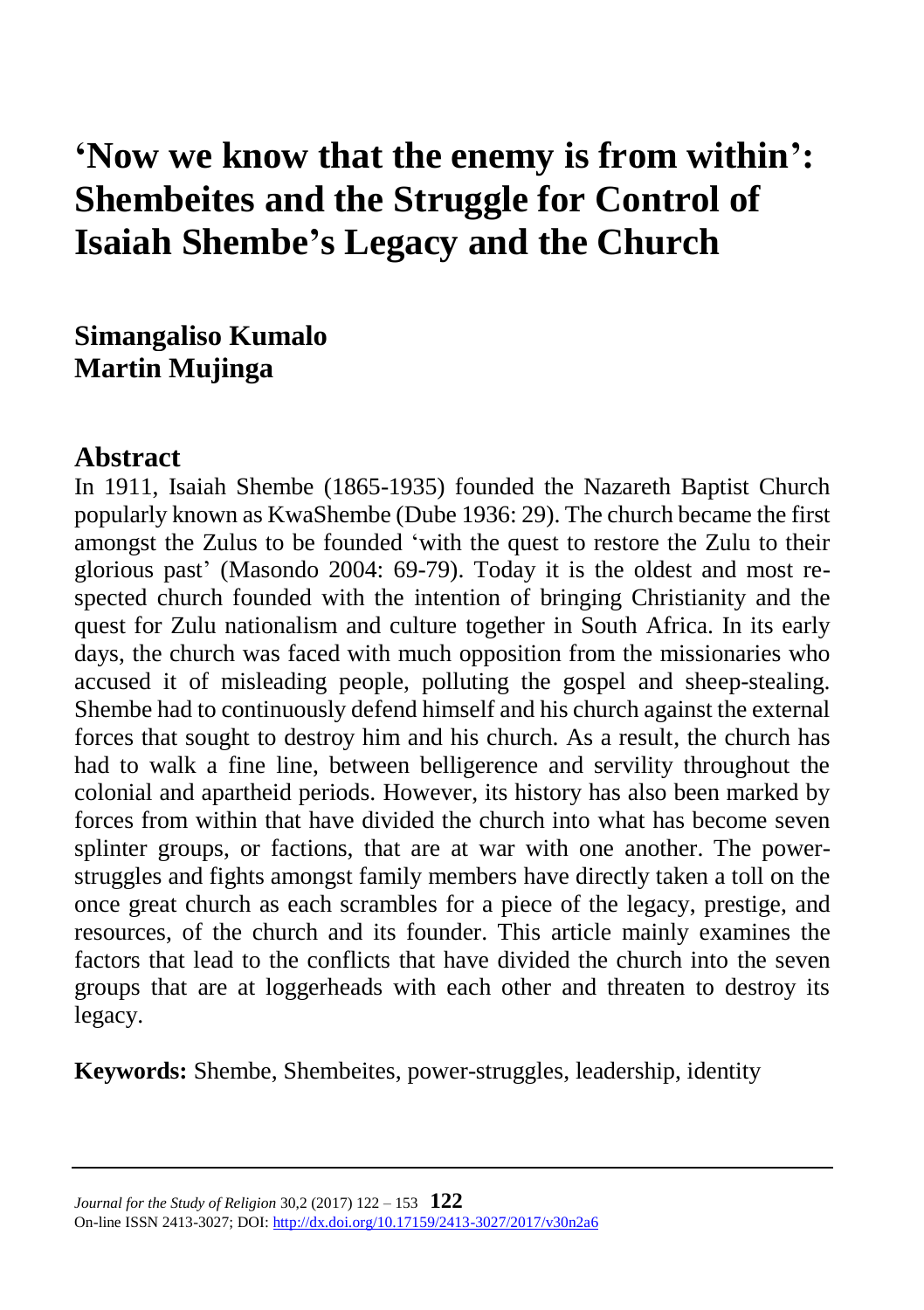# **'Now we know that the enemy is from within': Shembeites and the Struggle for Control of Isaiah Shembe's Legacy and the Church**

### **Simangaliso Kumalo Martin Mujinga**

#### **Abstract**

In 1911, Isaiah Shembe (1865-1935) founded the Nazareth Baptist Church popularly known as KwaShembe (Dube 1936: 29). The church became the first amongst the Zulus to be founded 'with the quest to restore the Zulu to their glorious past' (Masondo 2004: 69-79). Today it is the oldest and most respected church founded with the intention of bringing Christianity and the quest for Zulu nationalism and culture together in South Africa. In its early days, the church was faced with much opposition from the missionaries who accused it of misleading people, polluting the gospel and sheep-stealing. Shembe had to continuously defend himself and his church against the external forces that sought to destroy him and his church. As a result, the church has had to walk a fine line, between belligerence and servility throughout the colonial and apartheid periods. However, its history has also been marked by forces from within that have divided the church into what has become seven splinter groups, or factions, that are at war with one another. The powerstruggles and fights amongst family members have directly taken a toll on the once great church as each scrambles for a piece of the legacy, prestige, and resources, of the church and its founder. This article mainly examines the factors that lead to the conflicts that have divided the church into the seven groups that are at loggerheads with each other and threaten to destroy its legacy.

**Keywords:** Shembe, Shembeites, power-struggles, leadership, identity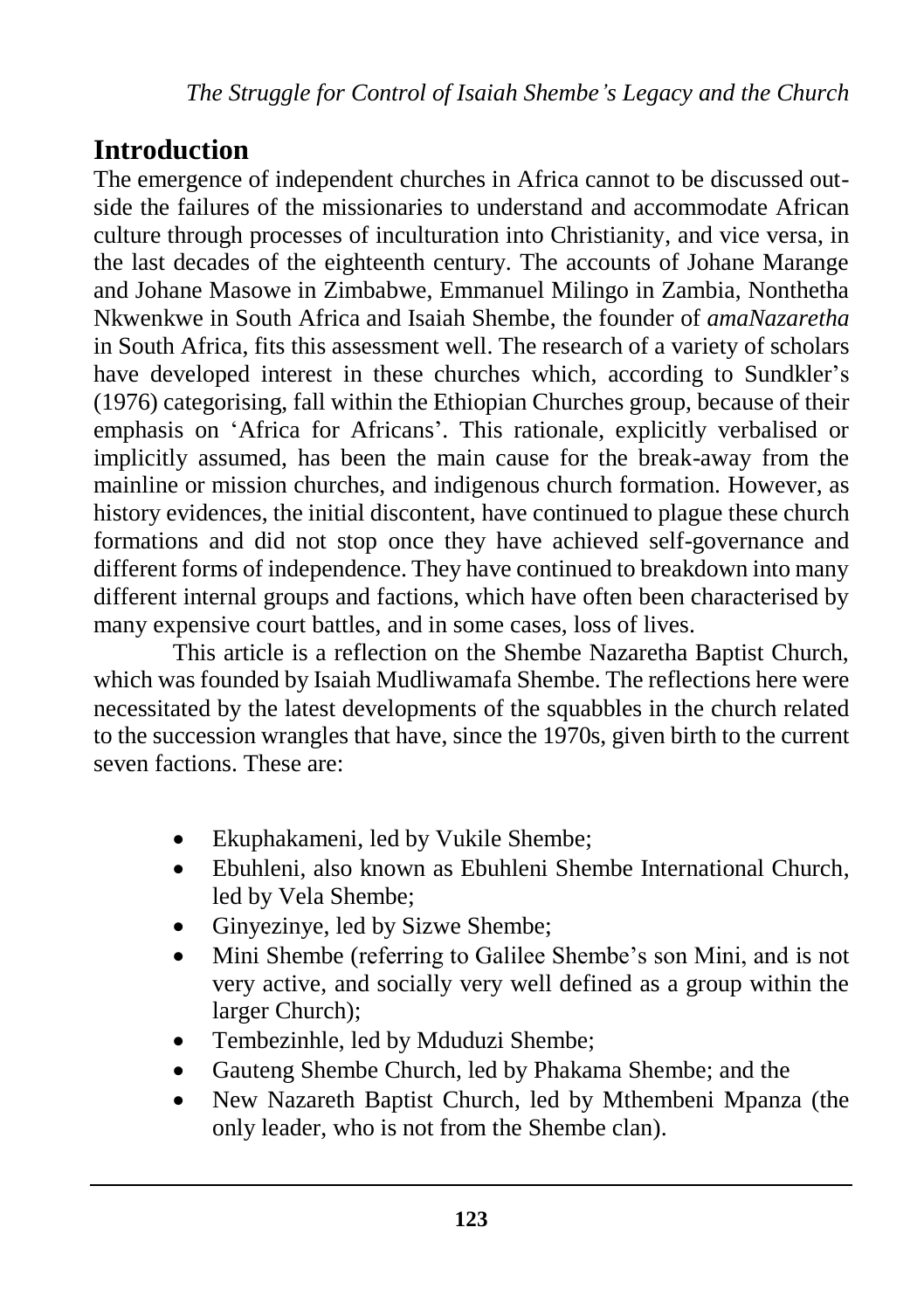# **Introduction**

The emergence of independent churches in Africa cannot to be discussed outside the failures of the missionaries to understand and accommodate African culture through processes of inculturation into Christianity, and vice versa, in the last decades of the eighteenth century. The accounts of Johane Marange and Johane Masowe in Zimbabwe, Emmanuel Milingo in Zambia, Nonthetha Nkwenkwe in South Africa and Isaiah Shembe, the founder of *amaNazaretha* in South Africa, fits this assessment well. The research of a variety of scholars have developed interest in these churches which, according to Sundkler's (1976) categorising, fall within the Ethiopian Churches group, because of their emphasis on 'Africa for Africans'. This rationale, explicitly verbalised or implicitly assumed, has been the main cause for the break-away from the mainline or mission churches, and indigenous church formation. However, as history evidences, the initial discontent, have continued to plague these church formations and did not stop once they have achieved self-governance and different forms of independence. They have continued to breakdown into many different internal groups and factions, which have often been characterised by many expensive court battles, and in some cases, loss of lives.

This article is a reflection on the Shembe Nazaretha Baptist Church, which was founded by Isaiah Mudliwamafa Shembe. The reflections here were necessitated by the latest developments of the squabbles in the church related to the succession wrangles that have, since the 1970s, given birth to the current seven factions. These are:

- Ekuphakameni, led by Vukile Shembe;
- Ebuhleni, also known as Ebuhleni Shembe International Church, led by Vela Shembe;
- Ginyezinye, led by Sizwe Shembe;
- Mini Shembe (referring to Galilee Shembe's son Mini, and is not very active, and socially very well defined as a group within the larger Church);
- Tembezinhle, led by Mduduzi Shembe;
- Gauteng Shembe Church, led by Phakama Shembe; and the
- New Nazareth Baptist Church, led by Mthembeni Mpanza (the only leader, who is not from the Shembe clan).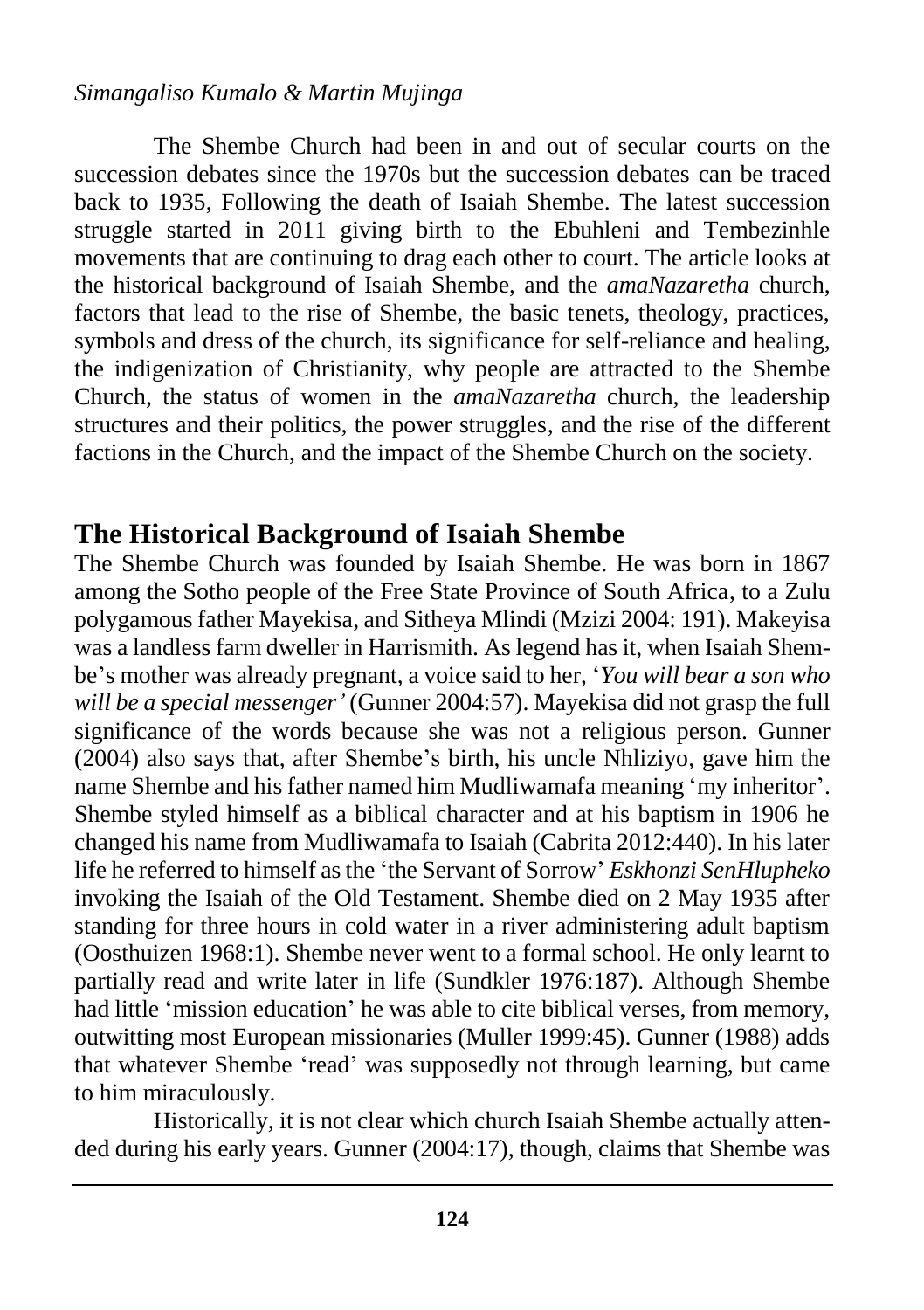#### *Simangaliso Kumalo & Martin Mujinga*

The Shembe Church had been in and out of secular courts on the succession debates since the 1970s but the succession debates can be traced back to 1935, Following the death of Isaiah Shembe. The latest succession struggle started in 2011 giving birth to the Ebuhleni and Tembezinhle movements that are continuing to drag each other to court. The article looks at the historical background of Isaiah Shembe, and the *amaNazaretha* church, factors that lead to the rise of Shembe, the basic tenets, theology, practices, symbols and dress of the church, its significance for self-reliance and healing, the indigenization of Christianity, why people are attracted to the Shembe Church, the status of women in the *amaNazaretha* church, the leadership structures and their politics, the power struggles, and the rise of the different factions in the Church, and the impact of the Shembe Church on the society.

#### **The Historical Background of Isaiah Shembe**

The Shembe Church was founded by Isaiah Shembe. He was born in 1867 among the Sotho people of the Free State Province of South Africa, to a Zulu polygamous father Mayekisa, and Sitheya Mlindi (Mzizi 2004: 191). Makeyisa was a landless farm dweller in Harrismith. As legend has it, when Isaiah Shembe's mother was already pregnant, a voice said to her, '*You will bear a son who will be a special messenger'* (Gunner 2004:57). Mayekisa did not grasp the full significance of the words because she was not a religious person. Gunner (2004) also says that, after Shembe's birth, his uncle Nhliziyo, gave him the name Shembe and his father named him Mudliwamafa meaning 'my inheritor'. Shembe styled himself as a biblical character and at his baptism in 1906 he changed his name from Mudliwamafa to Isaiah (Cabrita 2012:440). In his later life he referred to himself as the 'the Servant of Sorrow' *Eskhonzi SenHlupheko* invoking the Isaiah of the Old Testament. Shembe died on 2 May 1935 after standing for three hours in cold water in a river administering adult baptism (Oosthuizen 1968:1). Shembe never went to a formal school. He only learnt to partially read and write later in life (Sundkler 1976:187). Although Shembe had little 'mission education' he was able to cite biblical verses, from memory, outwitting most European missionaries (Muller 1999:45). Gunner (1988) adds that whatever Shembe 'read' was supposedly not through learning, but came to him miraculously.

Historically, it is not clear which church Isaiah Shembe actually attended during his early years. Gunner (2004:17), though, claims that Shembe was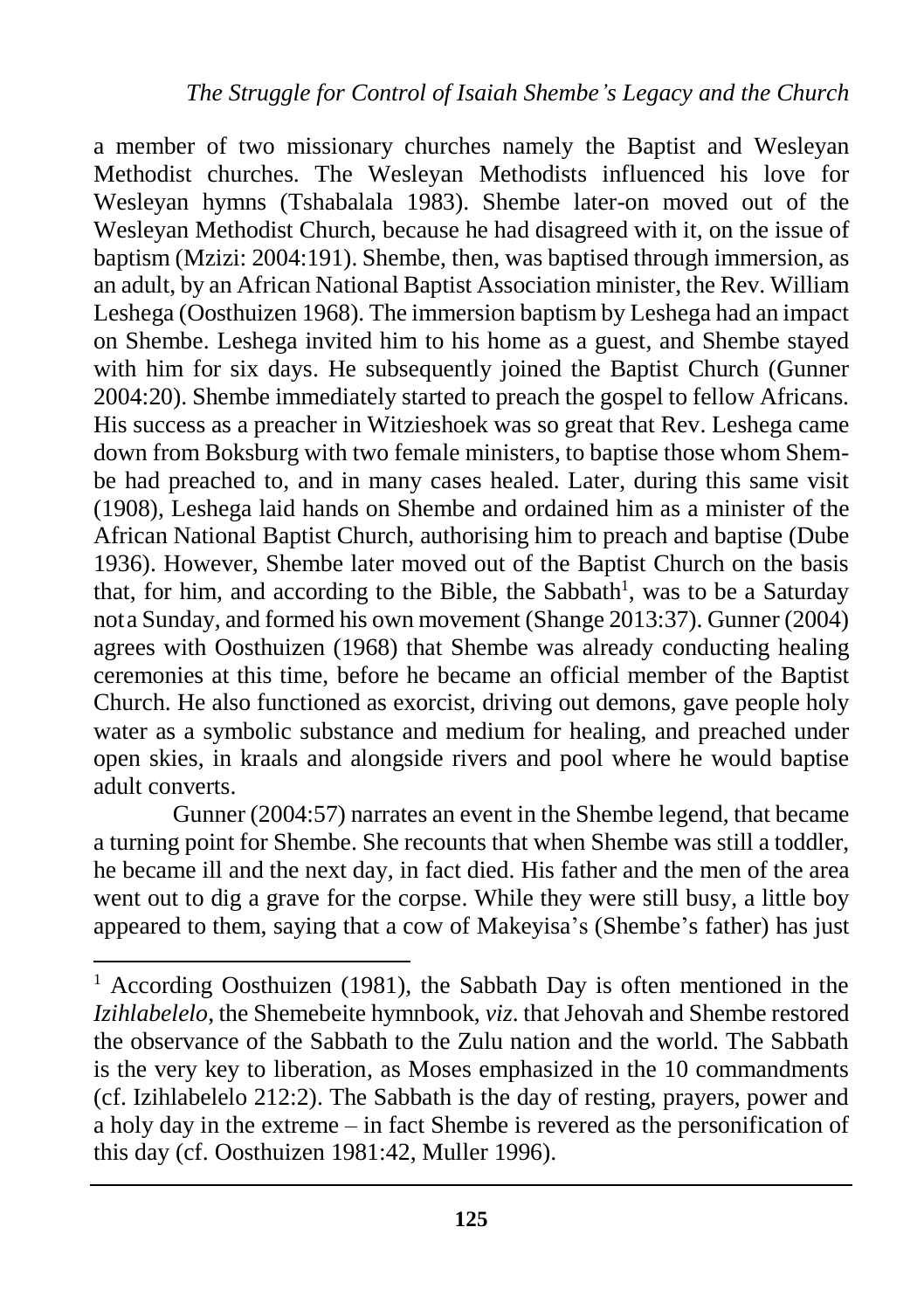a member of two missionary churches namely the Baptist and Wesleyan Methodist churches. The Wesleyan Methodists influenced his love for Wesleyan hymns (Tshabalala 1983). Shembe later-on moved out of the Wesleyan Methodist Church, because he had disagreed with it, on the issue of baptism (Mzizi: 2004:191). Shembe, then, was baptised through immersion, as an adult, by an African National Baptist Association minister, the Rev. William Leshega (Oosthuizen 1968). The immersion baptism by Leshega had an impact on Shembe. Leshega invited him to his home as a guest, and Shembe stayed with him for six days. He subsequently joined the Baptist Church (Gunner 2004:20). Shembe immediately started to preach the gospel to fellow Africans. His success as a preacher in Witzieshoek was so great that Rev. Leshega came down from Boksburg with two female ministers, to baptise those whom Shembe had preached to, and in many cases healed. Later, during this same visit (1908), Leshega laid hands on Shembe and ordained him as a minister of the African National Baptist Church, authorising him to preach and baptise (Dube 1936). However, Shembe later moved out of the Baptist Church on the basis that, for him, and according to the Bible, the Sabbath<sup>1</sup>, was to be a Saturday nota Sunday, and formed his own movement (Shange 2013:37). Gunner (2004) agrees with Oosthuizen (1968) that Shembe was already conducting healing ceremonies at this time, before he became an official member of the Baptist Church. He also functioned as exorcist, driving out demons, gave people holy water as a symbolic substance and medium for healing, and preached under open skies, in kraals and alongside rivers and pool where he would baptise adult converts.

Gunner (2004:57) narrates an event in the Shembe legend, that became a turning point for Shembe. She recounts that when Shembe was still a toddler, he became ill and the next day, in fact died. His father and the men of the area went out to dig a grave for the corpse. While they were still busy, a little boy appeared to them, saying that a cow of Makeyisa's (Shembe's father) has just

 $\overline{\phantom{a}}$ 

<sup>&</sup>lt;sup>1</sup> According Oosthuizen (1981), the Sabbath Day is often mentioned in the *Izihlabelelo*, the Shemebeite hymnbook, *viz*. that Jehovah and Shembe restored the observance of the Sabbath to the Zulu nation and the world. The Sabbath is the very key to liberation, as Moses emphasized in the 10 commandments (cf. Izihlabelelo 212:2). The Sabbath is the day of resting, prayers, power and a holy day in the extreme – in fact Shembe is revered as the personification of this day (cf. Oosthuizen 1981:42, Muller 1996).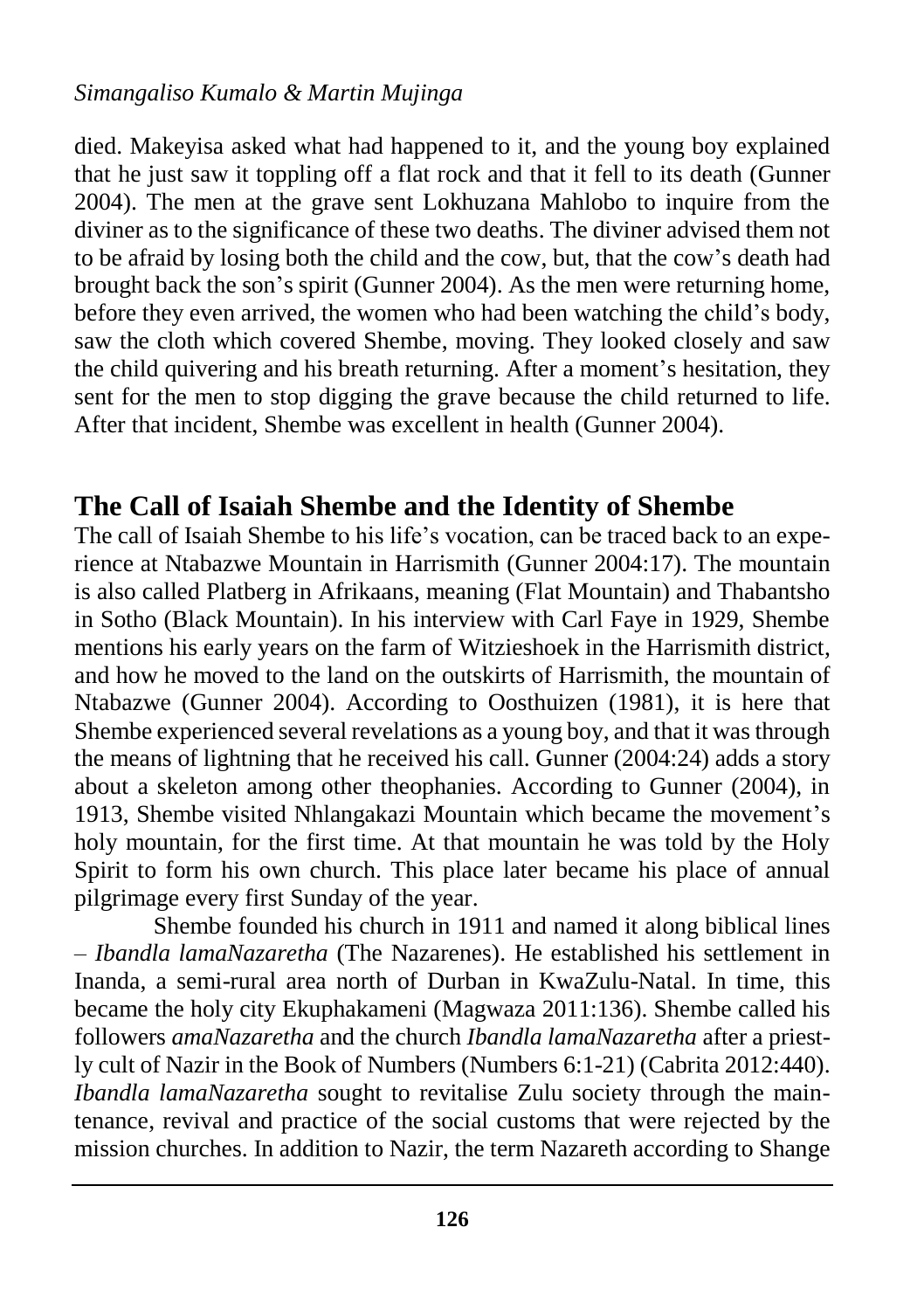#### *Simangaliso Kumalo & Martin Mujinga*

died. Makeyisa asked what had happened to it, and the young boy explained that he just saw it toppling off a flat rock and that it fell to its death (Gunner 2004). The men at the grave sent Lokhuzana Mahlobo to inquire from the diviner as to the significance of these two deaths. The diviner advised them not to be afraid by losing both the child and the cow, but, that the cow's death had brought back the son's spirit (Gunner 2004). As the men were returning home, before they even arrived, the women who had been watching the child's body, saw the cloth which covered Shembe, moving. They looked closely and saw the child quivering and his breath returning. After a moment's hesitation, they sent for the men to stop digging the grave because the child returned to life. After that incident, Shembe was excellent in health (Gunner 2004).

#### **The Call of Isaiah Shembe and the Identity of Shembe**

The call of Isaiah Shembe to his life's vocation, can be traced back to an experience at Ntabazwe Mountain in Harrismith (Gunner 2004:17). The mountain is also called Platberg in Afrikaans, meaning (Flat Mountain) and Thabantsho in Sotho (Black Mountain). In his interview with Carl Faye in 1929, Shembe mentions his early years on the farm of Witzieshoek in the Harrismith district, and how he moved to the land on the outskirts of Harrismith, the mountain of Ntabazwe (Gunner 2004). According to Oosthuizen (1981), it is here that Shembe experienced several revelations as a young boy, and that it was through the means of lightning that he received his call. Gunner (2004:24) adds a story about a skeleton among other theophanies. According to Gunner (2004), in 1913, Shembe visited Nhlangakazi Mountain which became the movement's holy mountain, for the first time. At that mountain he was told by the Holy Spirit to form his own church. This place later became his place of annual pilgrimage every first Sunday of the year.

Shembe founded his church in 1911 and named it along biblical lines – *Ibandla lamaNazaretha* (The Nazarenes). He established his settlement in Inanda, a semi-rural area north of Durban in KwaZulu-Natal. In time, this became the holy city Ekuphakameni (Magwaza 2011:136). Shembe called his followers *amaNazaretha* and the church *Ibandla lamaNazaretha* after a priestly cult of Nazir in the Book of Numbers (Numbers 6:1-21) (Cabrita 2012:440). *Ibandla lamaNazaretha* sought to revitalise Zulu society through the maintenance, revival and practice of the social customs that were rejected by the mission churches. In addition to Nazir, the term Nazareth according to Shange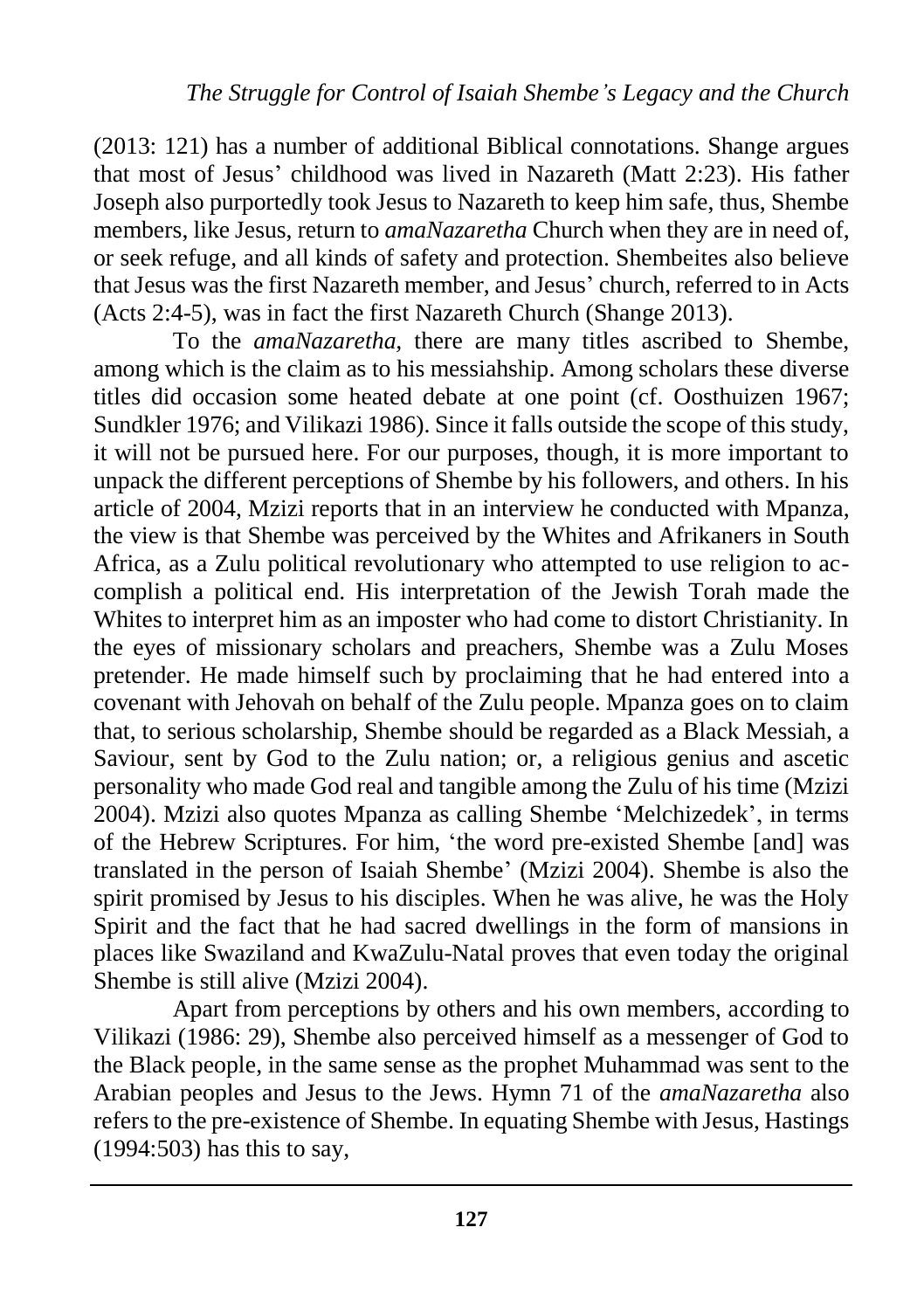(2013: 121) has a number of additional Biblical connotations. Shange argues that most of Jesus' childhood was lived in Nazareth (Matt 2:23). His father Joseph also purportedly took Jesus to Nazareth to keep him safe, thus, Shembe members, like Jesus, return to *amaNazaretha* Church when they are in need of, or seek refuge, and all kinds of safety and protection. Shembeites also believe that Jesus was the first Nazareth member, and Jesus' church, referred to in Acts (Acts 2:4-5), was in fact the first Nazareth Church (Shange 2013).

To the *amaNazaretha,* there are many titles ascribed to Shembe, among which is the claim as to his messiahship. Among scholars these diverse titles did occasion some heated debate at one point (cf. Oosthuizen 1967; Sundkler 1976; and Vilikazi 1986). Since it falls outside the scope of this study, it will not be pursued here. For our purposes, though, it is more important to unpack the different perceptions of Shembe by his followers, and others. In his article of 2004, Mzizi reports that in an interview he conducted with Mpanza, the view is that Shembe was perceived by the Whites and Afrikaners in South Africa, as a Zulu political revolutionary who attempted to use religion to accomplish a political end. His interpretation of the Jewish Torah made the Whites to interpret him as an imposter who had come to distort Christianity. In the eyes of missionary scholars and preachers, Shembe was a Zulu Moses pretender. He made himself such by proclaiming that he had entered into a covenant with Jehovah on behalf of the Zulu people. Mpanza goes on to claim that, to serious scholarship, Shembe should be regarded as a Black Messiah, a Saviour, sent by God to the Zulu nation; or, a religious genius and ascetic personality who made God real and tangible among the Zulu of his time (Mzizi 2004). Mzizi also quotes Mpanza as calling Shembe 'Melchizedek', in terms of the Hebrew Scriptures. For him, 'the word pre-existed Shembe [and] was translated in the person of Isaiah Shembe' (Mzizi 2004). Shembe is also the spirit promised by Jesus to his disciples. When he was alive, he was the Holy Spirit and the fact that he had sacred dwellings in the form of mansions in places like Swaziland and KwaZulu-Natal proves that even today the original Shembe is still alive (Mzizi 2004).

Apart from perceptions by others and his own members, according to Vilikazi (1986: 29), Shembe also perceived himself as a messenger of God to the Black people, in the same sense as the prophet Muhammad was sent to the Arabian peoples and Jesus to the Jews. Hymn 71 of the *amaNazaretha* also refers to the pre-existence of Shembe. In equating Shembe with Jesus, Hastings (1994:503) has this to say,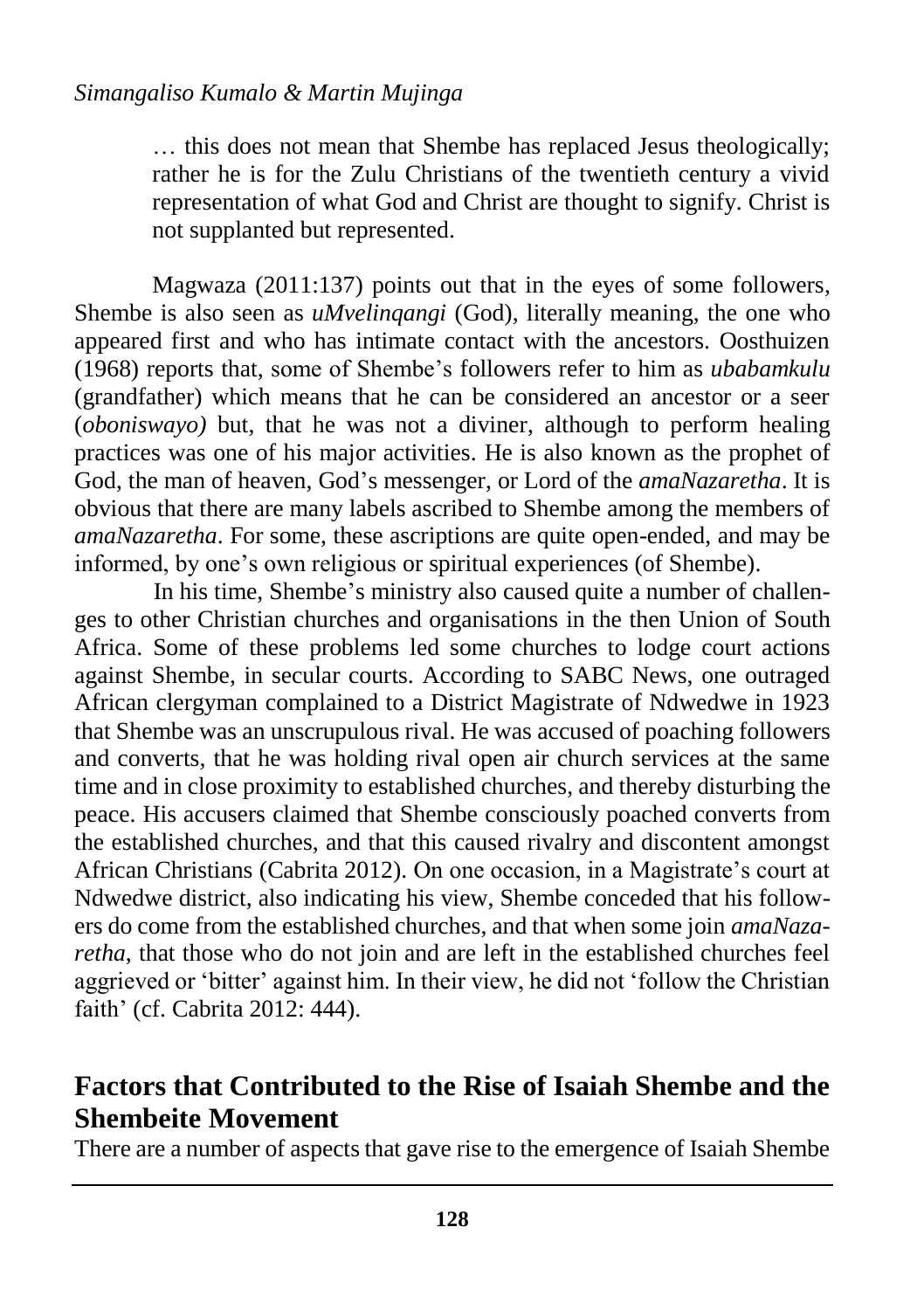… this does not mean that Shembe has replaced Jesus theologically; rather he is for the Zulu Christians of the twentieth century a vivid representation of what God and Christ are thought to signify. Christ is not supplanted but represented.

Magwaza (2011:137) points out that in the eyes of some followers, Shembe is also seen as *uMvelinqangi* (God), literally meaning, the one who appeared first and who has intimate contact with the ancestors. Oosthuizen (1968) reports that, some of Shembe's followers refer to him as *ubabamkulu* (grandfather) which means that he can be considered an ancestor or a seer (*oboniswayo)* but, that he was not a diviner, although to perform healing practices was one of his major activities. He is also known as the prophet of God, the man of heaven, God's messenger, or Lord of the *amaNazaretha*. It is obvious that there are many labels ascribed to Shembe among the members of *amaNazaretha*. For some, these ascriptions are quite open-ended, and may be informed, by one's own religious or spiritual experiences (of Shembe).

In his time, Shembe's ministry also caused quite a number of challenges to other Christian churches and organisations in the then Union of South Africa. Some of these problems led some churches to lodge court actions against Shembe, in secular courts. According to SABC News, one outraged African clergyman complained to a District Magistrate of Ndwedwe in 1923 that Shembe was an unscrupulous rival. He was accused of poaching followers and converts, that he was holding rival open air church services at the same time and in close proximity to established churches, and thereby disturbing the peace. His accusers claimed that Shembe consciously poached converts from the established churches, and that this caused rivalry and discontent amongst African Christians (Cabrita 2012). On one occasion, in a Magistrate's court at Ndwedwe district, also indicating his view, Shembe conceded that his followers do come from the established churches, and that when some join *amaNazaretha*, that those who do not join and are left in the established churches feel aggrieved or 'bitter' against him. In their view, he did not 'follow the Christian faith' (cf. Cabrita 2012: 444).

### **Factors that Contributed to the Rise of Isaiah Shembe and the Shembeite Movement**

There are a number of aspects that gave rise to the emergence of Isaiah Shembe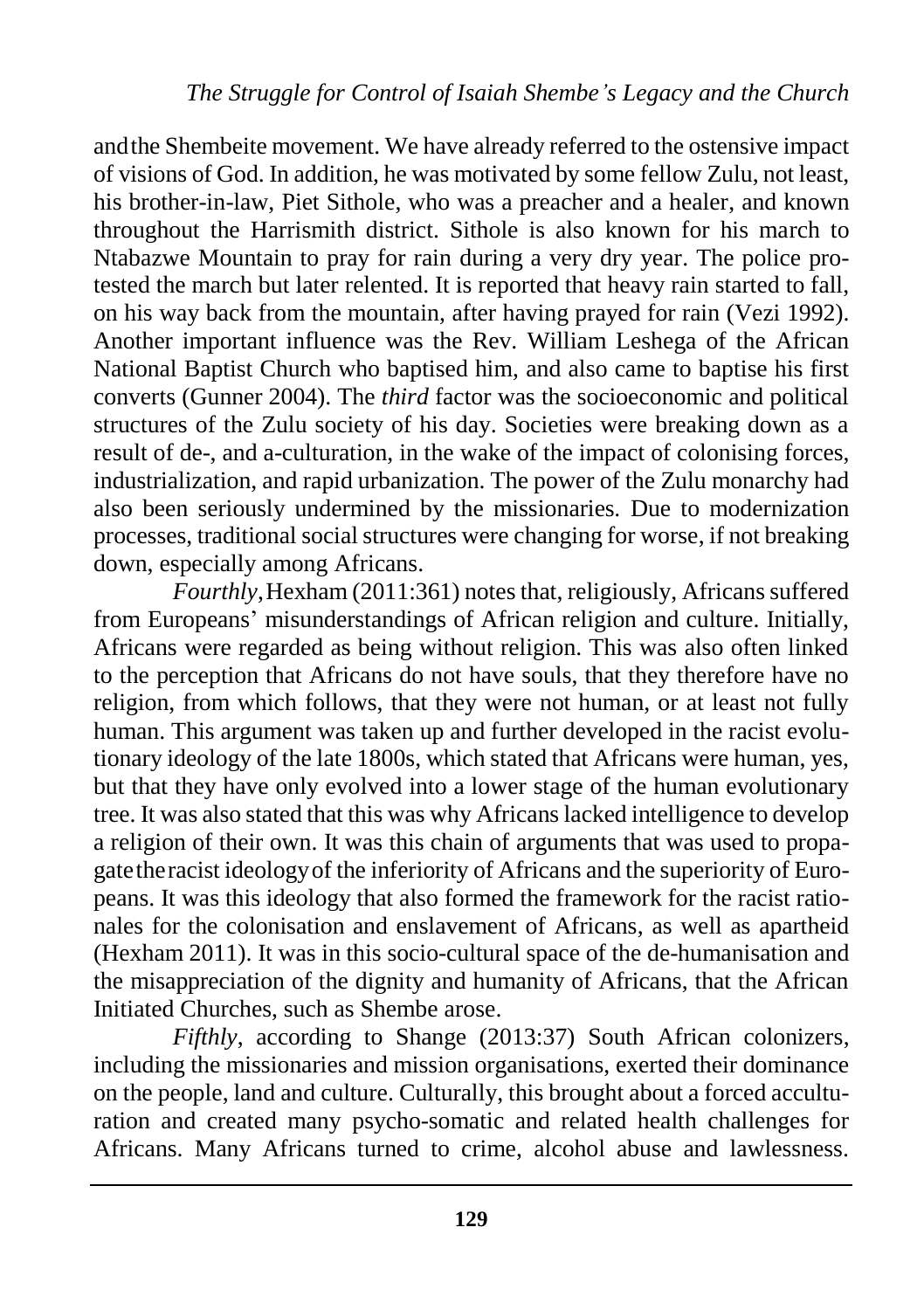andthe Shembeite movement. We have already referred to the ostensive impact of visions of God. In addition, he was motivated by some fellow Zulu, not least, his brother-in-law, Piet Sithole, who was a preacher and a healer, and known throughout the Harrismith district. Sithole is also known for his march to Ntabazwe Mountain to pray for rain during a very dry year. The police protested the march but later relented. It is reported that heavy rain started to fall, on his way back from the mountain, after having prayed for rain (Vezi 1992). Another important influence was the Rev. William Leshega of the African National Baptist Church who baptised him, and also came to baptise his first converts (Gunner 2004). The *third* factor was the socioeconomic and political structures of the Zulu society of his day. Societies were breaking down as a result of de-, and a-culturation, in the wake of the impact of colonising forces, industrialization, and rapid urbanization. The power of the Zulu monarchy had also been seriously undermined by the missionaries. Due to modernization processes, traditional social structures were changing for worse, if not breaking down, especially among Africans.

*Fourthly*,Hexham (2011:361) notes that, religiously, Africans suffered from Europeans' misunderstandings of African religion and culture. Initially, Africans were regarded as being without religion. This was also often linked to the perception that Africans do not have souls, that they therefore have no religion, from which follows, that they were not human, or at least not fully human. This argument was taken up and further developed in the racist evolutionary ideology of the late 1800s, which stated that Africans were human, yes, but that they have only evolved into a lower stage of the human evolutionary tree. It was also stated that this was why Africans lacked intelligence to develop a religion of their own. It was this chain of arguments that was used to propagatetheracist ideologyof the inferiority of Africans and the superiority of Europeans. It was this ideology that also formed the framework for the racist rationales for the colonisation and enslavement of Africans, as well as apartheid (Hexham 2011). It was in this socio-cultural space of the de-humanisation and the misappreciation of the dignity and humanity of Africans, that the African Initiated Churches, such as Shembe arose.

*Fifthly*, according to Shange (2013:37) South African colonizers, including the missionaries and mission organisations, exerted their dominance on the people, land and culture. Culturally, this brought about a forced acculturation and created many psycho-somatic and related health challenges for Africans. Many Africans turned to crime, alcohol abuse and lawlessness.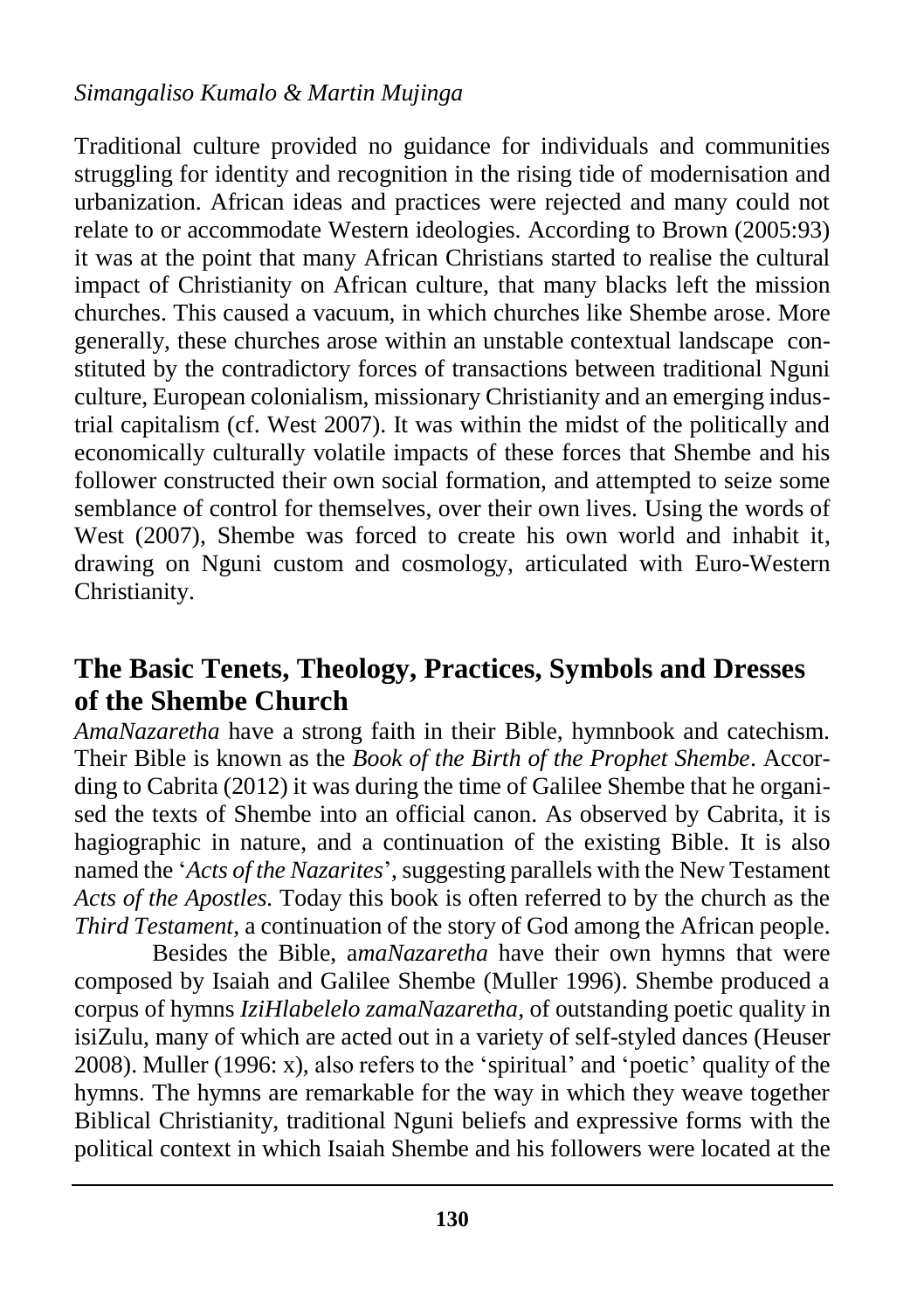#### *Simangaliso Kumalo & Martin Mujinga*

Traditional culture provided no guidance for individuals and communities struggling for identity and recognition in the rising tide of modernisation and urbanization. African ideas and practices were rejected and many could not relate to or accommodate Western ideologies. According to Brown (2005:93) it was at the point that many African Christians started to realise the cultural impact of Christianity on African culture, that many blacks left the mission churches. This caused a vacuum, in which churches like Shembe arose. More generally, these churches arose within an unstable contextual landscape constituted by the contradictory forces of transactions between traditional Nguni culture, European colonialism, missionary Christianity and an emerging industrial capitalism (cf. West 2007). It was within the midst of the politically and economically culturally volatile impacts of these forces that Shembe and his follower constructed their own social formation, and attempted to seize some semblance of control for themselves, over their own lives. Using the words of West (2007), Shembe was forced to create his own world and inhabit it, drawing on Nguni custom and cosmology, articulated with Euro-Western Christianity.

### **The Basic Tenets, Theology, Practices, Symbols and Dresses of the Shembe Church**

*AmaNazaretha* have a strong faith in their Bible, hymnbook and catechism. Their Bible is known as the *Book of the Birth of the Prophet Shembe*. According to Cabrita (2012) it was during the time of Galilee Shembe that he organised the texts of Shembe into an official canon. As observed by Cabrita, it is hagiographic in nature, and a continuation of the existing Bible. It is also named the '*Acts of the Nazarites*', suggesting parallels with the New Testament *Acts of the Apostles.* Today this book is often referred to by the church as the *Third Testament*, a continuation of the story of God among the African people.

Besides the Bible, a*maNazaretha* have their own hymns that were composed by Isaiah and Galilee Shembe (Muller 1996). Shembe produced a corpus of hymns *IziHlabelelo zamaNazaretha*, of outstanding poetic quality in isiZulu, many of which are acted out in a variety of self-styled dances (Heuser 2008). Muller (1996: x), also refers to the 'spiritual' and 'poetic' quality of the hymns. The hymns are remarkable for the way in which they weave together Biblical Christianity, traditional Nguni beliefs and expressive forms with the political context in which Isaiah Shembe and his followers were located at the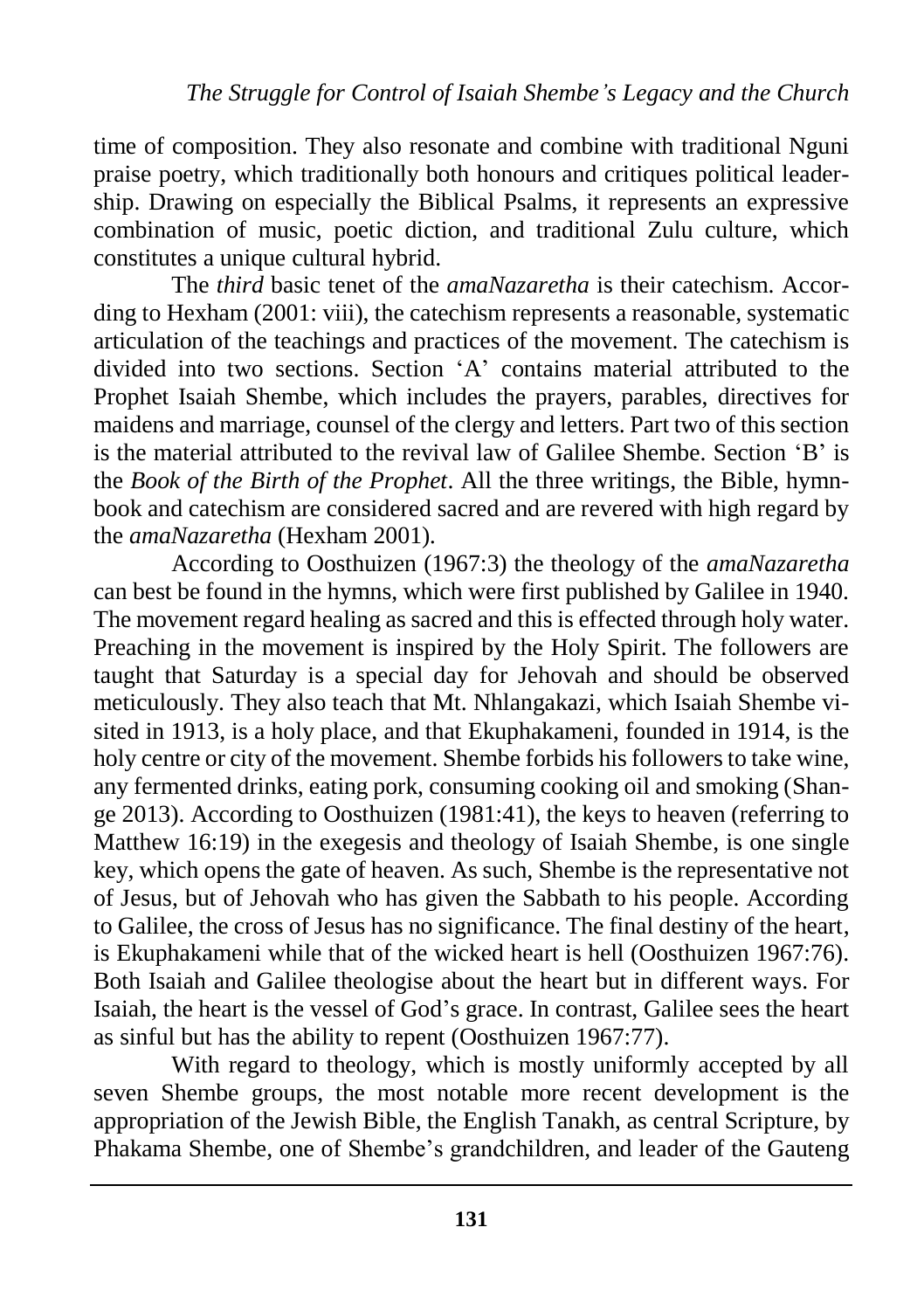time of composition. They also resonate and combine with traditional Nguni praise poetry, which traditionally both honours and critiques political leadership. Drawing on especially the Biblical Psalms, it represents an expressive combination of music, poetic diction, and traditional Zulu culture, which constitutes a unique cultural hybrid.

The *third* basic tenet of the *amaNazaretha* is their catechism. According to Hexham (2001: viii), the catechism represents a reasonable, systematic articulation of the teachings and practices of the movement. The catechism is divided into two sections. Section 'A' contains material attributed to the Prophet Isaiah Shembe, which includes the prayers, parables, directives for maidens and marriage, counsel of the clergy and letters. Part two of this section is the material attributed to the revival law of Galilee Shembe. Section 'B' is the *Book of the Birth of the Prophet*. All the three writings, the Bible, hymnbook and catechism are considered sacred and are revered with high regard by the *amaNazaretha* (Hexham 2001)*.*

According to Oosthuizen (1967:3) the theology of the *amaNazaretha* can best be found in the hymns, which were first published by Galilee in 1940. The movement regard healing as sacred and this is effected through holy water. Preaching in the movement is inspired by the Holy Spirit. The followers are taught that Saturday is a special day for Jehovah and should be observed meticulously. They also teach that Mt. Nhlangakazi, which Isaiah Shembe visited in 1913, is a holy place, and that Ekuphakameni, founded in 1914, is the holy centre or city of the movement. Shembe forbids his followers to take wine, any fermented drinks, eating pork, consuming cooking oil and smoking (Shange 2013). According to Oosthuizen (1981:41), the keys to heaven (referring to Matthew 16:19) in the exegesis and theology of Isaiah Shembe, is one single key, which opens the gate of heaven. As such, Shembe is the representative not of Jesus, but of Jehovah who has given the Sabbath to his people. According to Galilee, the cross of Jesus has no significance. The final destiny of the heart, is Ekuphakameni while that of the wicked heart is hell (Oosthuizen 1967:76). Both Isaiah and Galilee theologise about the heart but in different ways. For Isaiah, the heart is the vessel of God's grace. In contrast, Galilee sees the heart as sinful but has the ability to repent (Oosthuizen 1967:77).

With regard to theology, which is mostly uniformly accepted by all seven Shembe groups, the most notable more recent development is the appropriation of the Jewish Bible, the English Tanakh, as central Scripture, by Phakama Shembe, one of Shembe's grandchildren, and leader of the Gauteng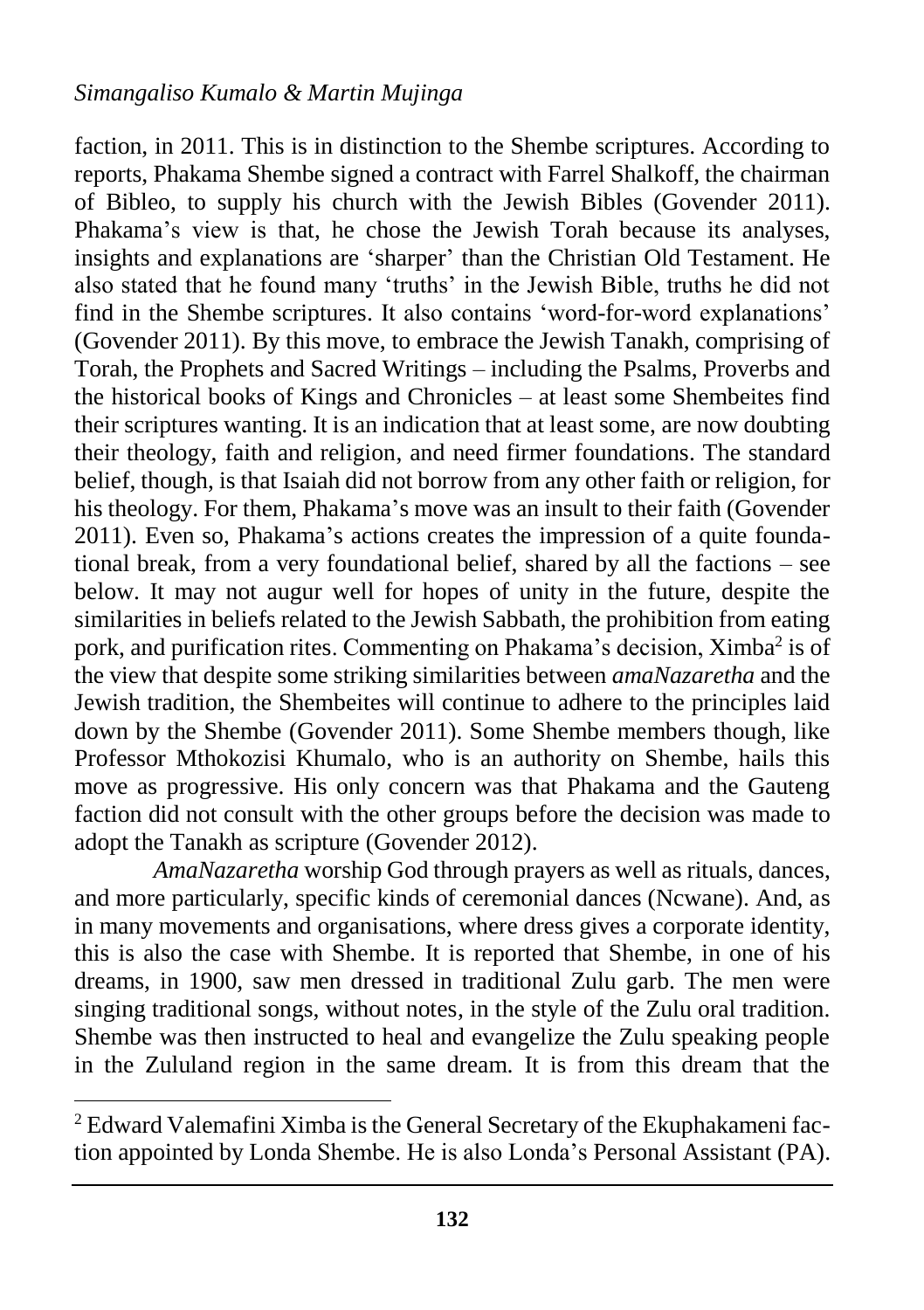faction, in 2011. This is in distinction to the Shembe scriptures. According to reports, Phakama Shembe signed a contract with Farrel Shalkoff, the chairman of Bibleo, to supply his church with the Jewish Bibles (Govender 2011). Phakama's view is that, he chose the Jewish Torah because its analyses, insights and explanations are 'sharper' than the Christian Old Testament. He also stated that he found many 'truths' in the Jewish Bible, truths he did not find in the Shembe scriptures. It also contains 'word-for-word explanations' (Govender 2011). By this move, to embrace the Jewish Tanakh, comprising of Torah, the Prophets and Sacred Writings – including the Psalms, Proverbs and the historical books of Kings and Chronicles – at least some Shembeites find their scriptures wanting. It is an indication that at least some, are now doubting their theology, faith and religion, and need firmer foundations. The standard belief, though, is that Isaiah did not borrow from any other faith or religion, for his theology. For them, Phakama's move was an insult to their faith (Govender 2011). Even so, Phakama's actions creates the impression of a quite foundational break, from a very foundational belief, shared by all the factions – see below. It may not augur well for hopes of unity in the future, despite the similarities in beliefs related to the Jewish Sabbath, the prohibition from eating pork, and purification rites. Commenting on Phakama's decision, Ximba<sup>2</sup> is of the view that despite some striking similarities between *amaNazaretha* and the Jewish tradition, the Shembeites will continue to adhere to the principles laid down by the Shembe (Govender 2011). Some Shembe members though, like Professor Mthokozisi Khumalo, who is an authority on Shembe, hails this move as progressive. His only concern was that Phakama and the Gauteng faction did not consult with the other groups before the decision was made to adopt the Tanakh as scripture (Govender 2012).

*AmaNazaretha* worship God through prayers as well as rituals, dances, and more particularly, specific kinds of ceremonial dances (Ncwane). And, as in many movements and organisations, where dress gives a corporate identity, this is also the case with Shembe. It is reported that Shembe, in one of his dreams, in 1900, saw men dressed in traditional Zulu garb. The men were singing traditional songs, without notes, in the style of the Zulu oral tradition. Shembe was then instructed to heal and evangelize the Zulu speaking people in the Zululand region in the same dream. It is from this dream that the

 $\overline{a}$ 

<sup>2</sup> Edward Valemafini Ximba is the General Secretary of the Ekuphakameni faction appointed by Londa Shembe. He is also Londa's Personal Assistant (PA).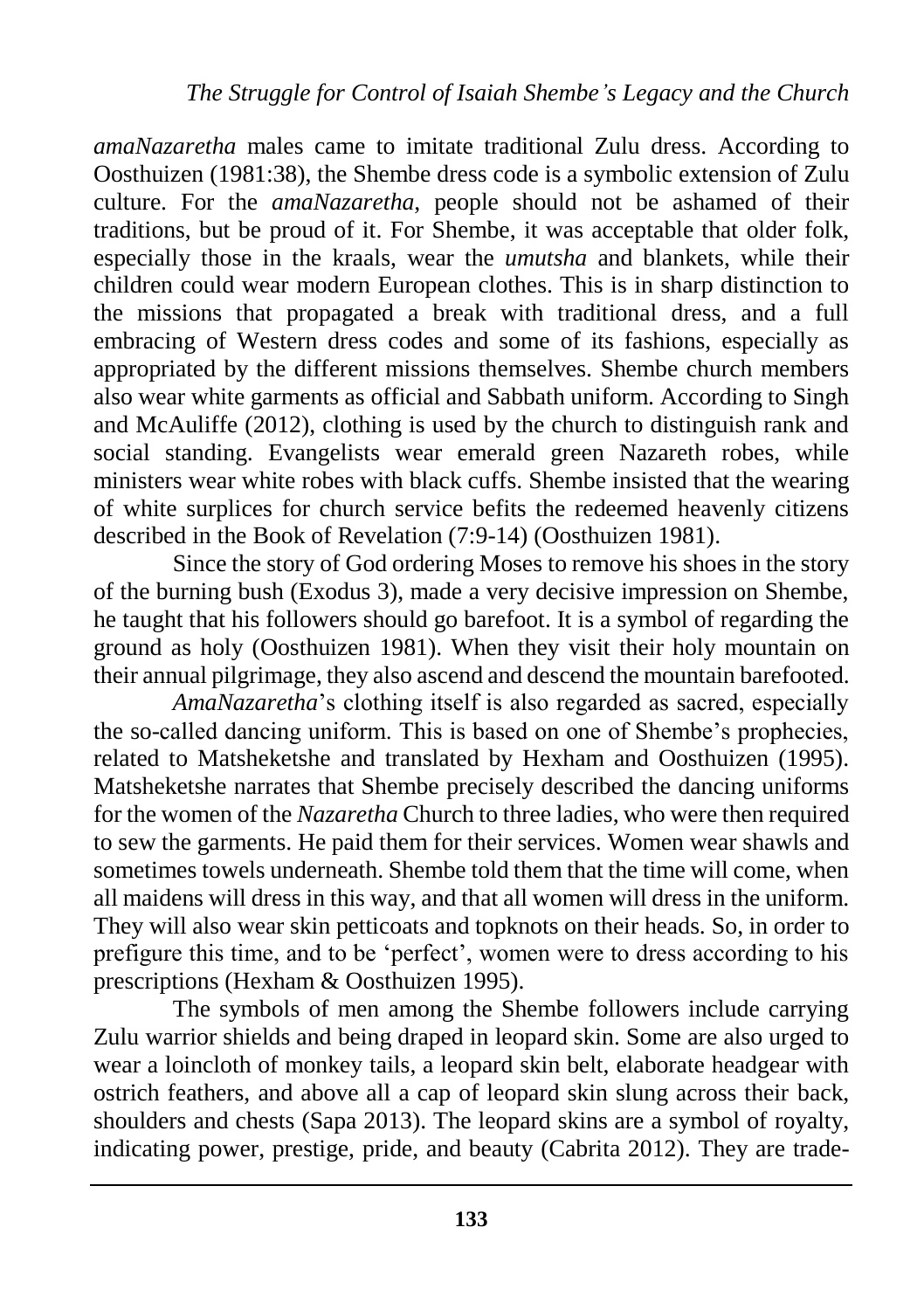*amaNazaretha* males came to imitate traditional Zulu dress. According to Oosthuizen (1981:38), the Shembe dress code is a symbolic extension of Zulu culture. For the *amaNazaretha*, people should not be ashamed of their traditions, but be proud of it. For Shembe, it was acceptable that older folk, especially those in the kraals, wear the *umutsha* and blankets, while their children could wear modern European clothes. This is in sharp distinction to the missions that propagated a break with traditional dress, and a full embracing of Western dress codes and some of its fashions, especially as appropriated by the different missions themselves. Shembe church members also wear white garments as official and Sabbath uniform. According to Singh and McAuliffe (2012), clothing is used by the church to distinguish rank and social standing. Evangelists wear emerald green Nazareth robes, while ministers wear white robes with black cuffs. Shembe insisted that the wearing of white surplices for church service befits the redeemed heavenly citizens described in the Book of Revelation (7:9-14) (Oosthuizen 1981).

Since the story of God ordering Moses to remove his shoes in the story of the burning bush (Exodus 3), made a very decisive impression on Shembe, he taught that his followers should go barefoot. It is a symbol of regarding the ground as holy (Oosthuizen 1981). When they visit their holy mountain on their annual pilgrimage, they also ascend and descend the mountain barefooted.

*AmaNazaretha*'s clothing itself is also regarded as sacred, especially the so-called dancing uniform. This is based on one of Shembe's prophecies, related to Matsheketshe and translated by Hexham and Oosthuizen (1995). Matsheketshe narrates that Shembe precisely described the dancing uniforms for the women of the *Nazaretha* Church to three ladies, who were then required to sew the garments. He paid them for their services. Women wear shawls and sometimes towels underneath. Shembe told them that the time will come, when all maidens will dress in this way, and that all women will dress in the uniform. They will also wear skin petticoats and topknots on their heads. So, in order to prefigure this time, and to be 'perfect', women were to dress according to his prescriptions (Hexham & Oosthuizen 1995).

The symbols of men among the Shembe followers include carrying Zulu warrior shields and being draped in leopard skin. Some are also urged to wear a loincloth of monkey tails, a leopard skin belt, elaborate headgear with ostrich feathers, and above all a cap of leopard skin slung across their back, shoulders and chests (Sapa 2013). The leopard skins are a symbol of royalty, indicating power, prestige, pride, and beauty (Cabrita 2012). They are trade-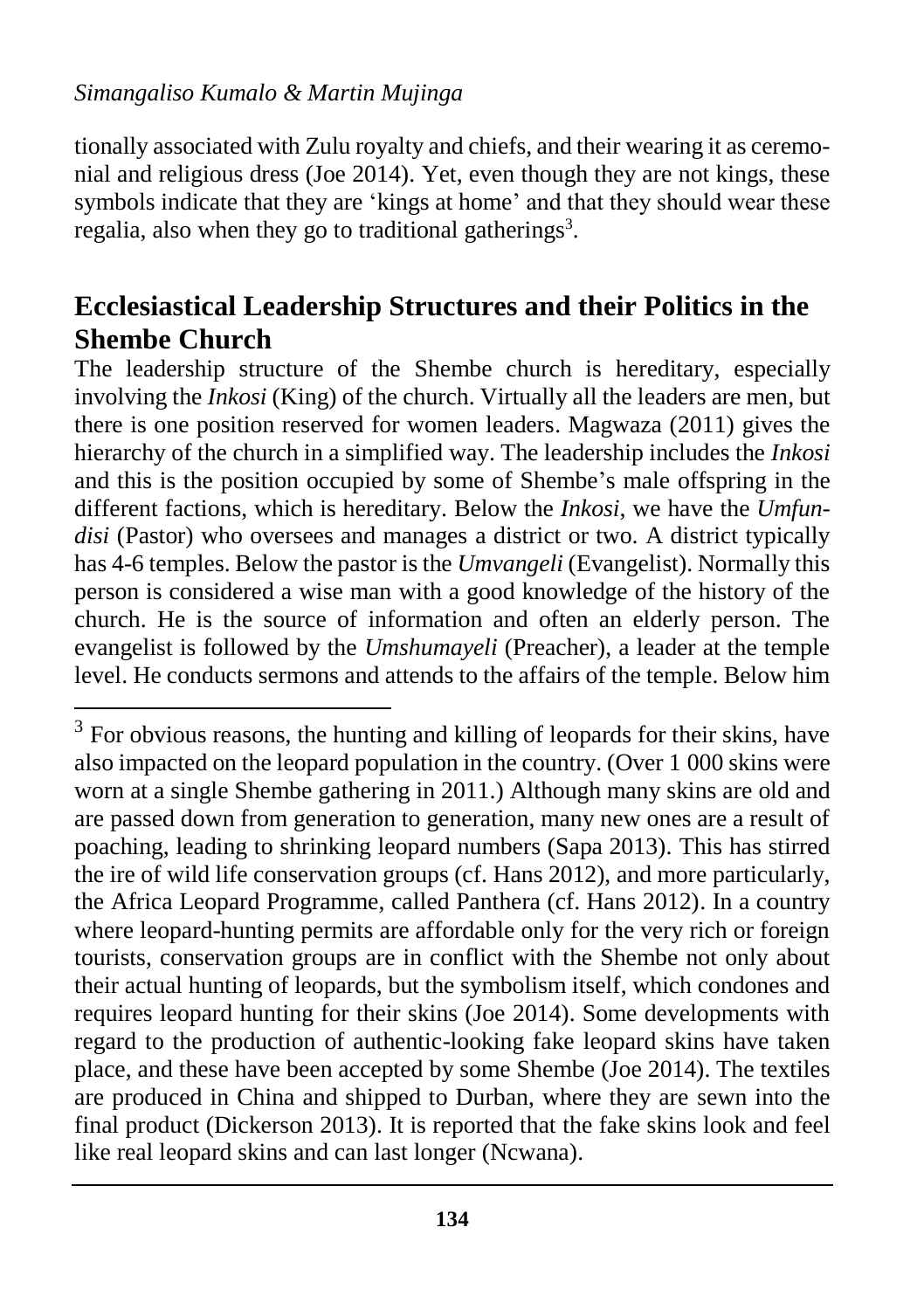#### *Simangaliso Kumalo & Martin Mujinga*

 $\overline{\phantom{a}}$ 

tionally associated with Zulu royalty and chiefs, and their wearing it as ceremonial and religious dress (Joe 2014). Yet, even though they are not kings, these symbols indicate that they are 'kings at home' and that they should wear these regalia, also when they go to traditional gatherings<sup>3</sup>.

### **Ecclesiastical Leadership Structures and their Politics in the Shembe Church**

The leadership structure of the Shembe church is hereditary, especially involving the *Inkosi* (King) of the church. Virtually all the leaders are men, but there is one position reserved for women leaders. Magwaza (2011) gives the hierarchy of the church in a simplified way. The leadership includes the *Inkosi* and this is the position occupied by some of Shembe's male offspring in the different factions, which is hereditary. Below the *Inkosi*, we have the *Umfundisi* (Pastor) who oversees and manages a district or two. A district typically has 4-6 temples. Below the pastor is the *Umvangeli* (Evangelist). Normally this person is considered a wise man with a good knowledge of the history of the church. He is the source of information and often an elderly person. The evangelist is followed by the *Umshumayeli* (Preacher), a leader at the temple level. He conducts sermons and attends to the affairs of the temple. Below him

 $3$  For obvious reasons, the hunting and killing of leopards for their skins, have also impacted on the leopard population in the country. (Over 1 000 skins were worn at a single Shembe gathering in 2011.) Although many skins are old and are passed down from generation to generation, many new ones are a result of poaching, leading to shrinking leopard numbers (Sapa 2013). This has stirred the ire of wild life conservation groups (cf. Hans 2012), and more particularly, the Africa Leopard Programme, called Panthera (cf. Hans 2012). In a country where leopard-hunting permits are affordable only for the very rich or foreign tourists, conservation groups are in conflict with the Shembe not only about their actual hunting of leopards, but the symbolism itself, which condones and requires leopard hunting for their skins (Joe 2014). Some developments with regard to the production of authentic-looking fake leopard skins have taken place, and these have been accepted by some Shembe (Joe 2014). The textiles are produced in China and shipped to Durban, where they are sewn into the final product (Dickerson 2013). It is reported that the fake skins look and feel like real leopard skins and can last longer (Ncwana).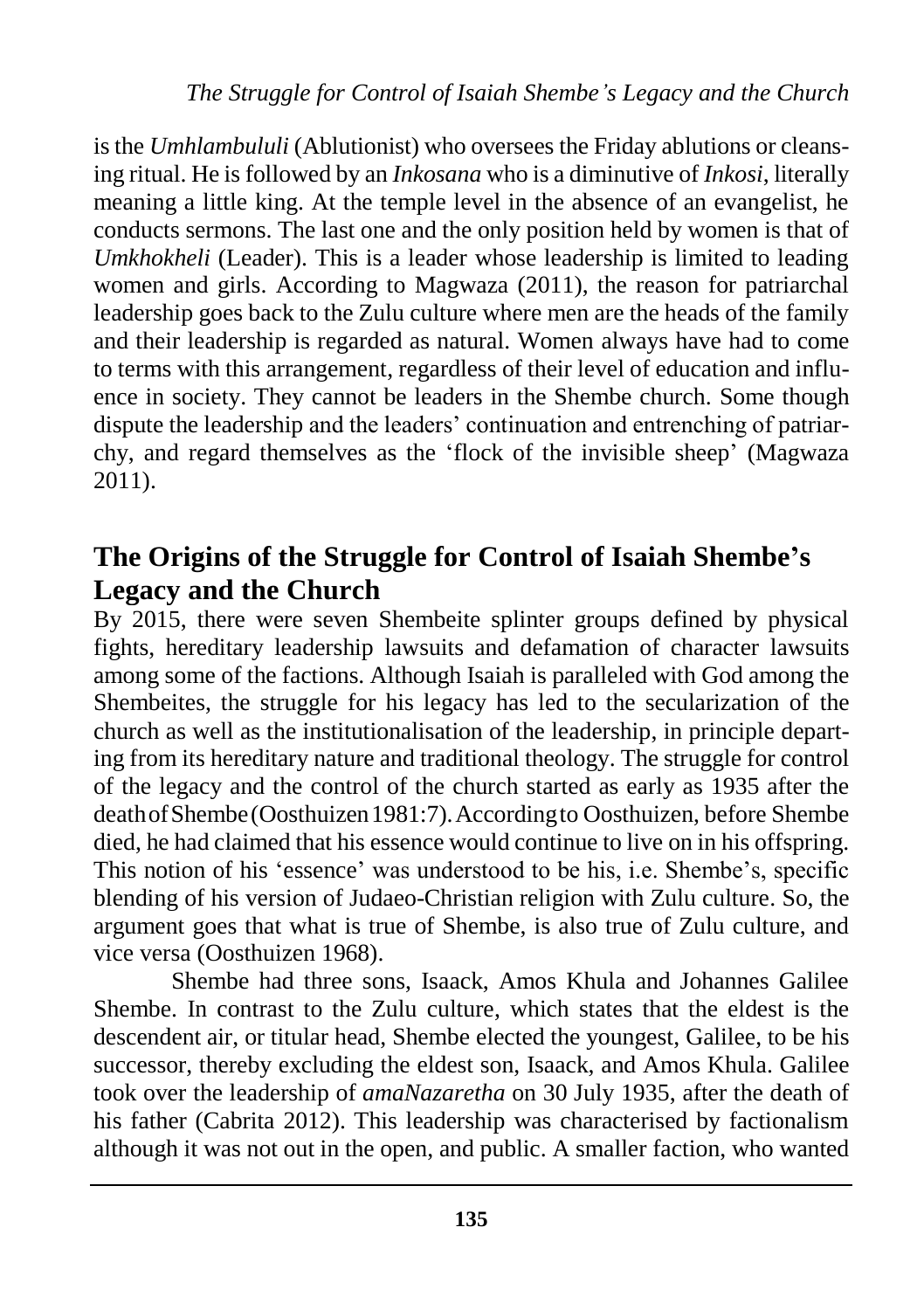is the *Umhlambululi* (Ablutionist) who oversees the Friday ablutions or cleansing ritual. He is followed by an *Inkosana* who is a diminutive of *Inkosi*, literally meaning a little king. At the temple level in the absence of an evangelist, he conducts sermons. The last one and the only position held by women is that of *Umkhokheli* (Leader). This is a leader whose leadership is limited to leading women and girls. According to Magwaza (2011), the reason for patriarchal leadership goes back to the Zulu culture where men are the heads of the family and their leadership is regarded as natural. Women always have had to come to terms with this arrangement, regardless of their level of education and influence in society. They cannot be leaders in the Shembe church. Some though dispute the leadership and the leaders' continuation and entrenching of patriarchy, and regard themselves as the 'flock of the invisible sheep' (Magwaza 2011).

### **The Origins of the Struggle for Control of Isaiah Shembe's Legacy and the Church**

By 2015, there were seven Shembeite splinter groups defined by physical fights, hereditary leadership lawsuits and defamation of character lawsuits among some of the factions. Although Isaiah is paralleled with God among the Shembeites, the struggle for his legacy has led to the secularization of the church as well as the institutionalisation of the leadership, in principle departing from its hereditary nature and traditional theology. The struggle for control of the legacy and the control of the church started as early as 1935 after the deathofShembe(Oosthuizen1981:7).Accordingto Oosthuizen, before Shembe died, he had claimed that his essence would continue to live on in his offspring. This notion of his 'essence' was understood to be his, i.e. Shembe's, specific blending of his version of Judaeo-Christian religion with Zulu culture. So, the argument goes that what is true of Shembe, is also true of Zulu culture, and vice versa (Oosthuizen 1968).

Shembe had three sons, Isaack, Amos Khula and Johannes Galilee Shembe. In contrast to the Zulu culture, which states that the eldest is the descendent air, or titular head, Shembe elected the youngest, Galilee, to be his successor, thereby excluding the eldest son, Isaack, and Amos Khula. Galilee took over the leadership of *amaNazaretha* on 30 July 1935, after the death of his father (Cabrita 2012). This leadership was characterised by factionalism although it was not out in the open, and public. A smaller faction, who wanted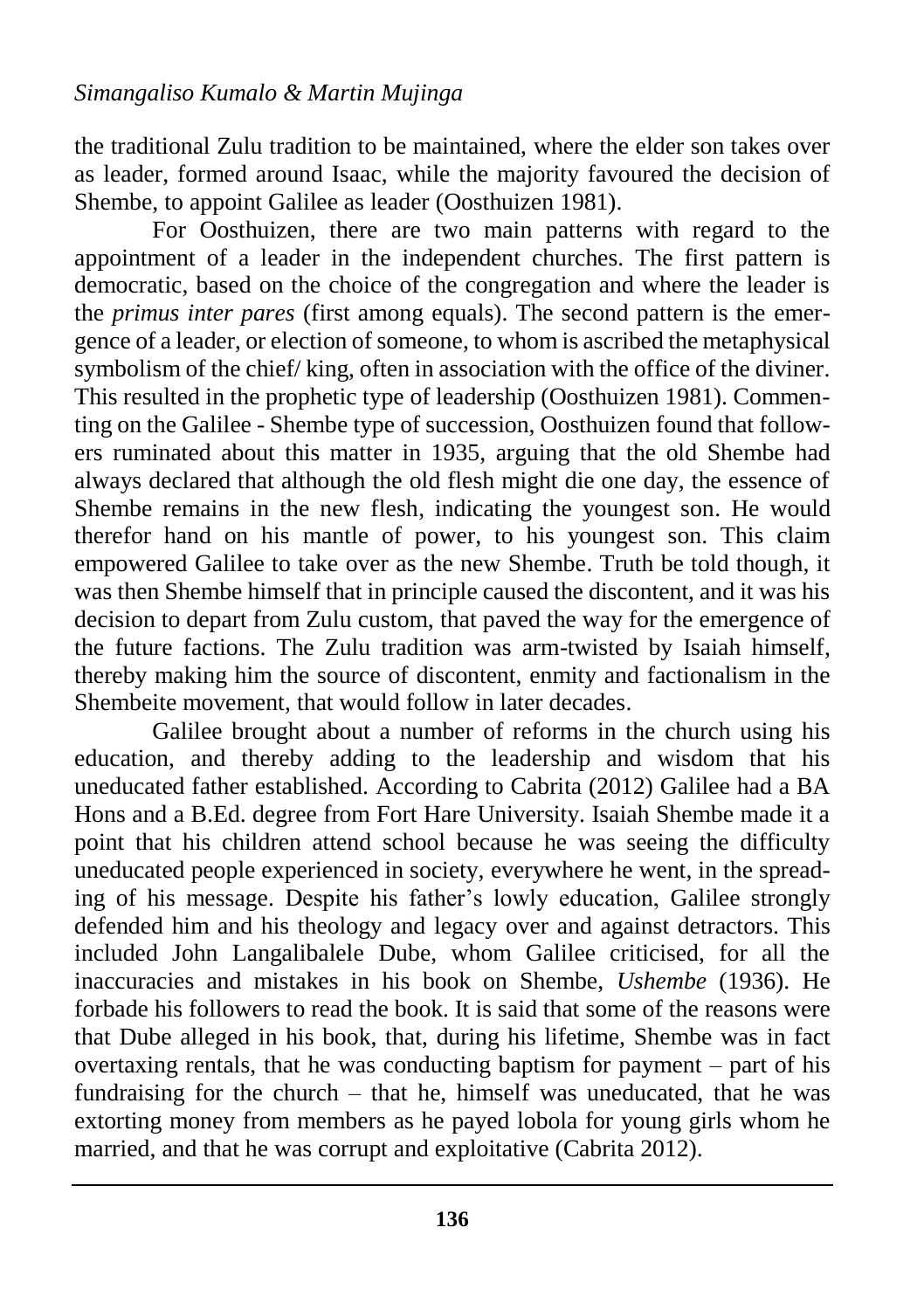the traditional Zulu tradition to be maintained, where the elder son takes over as leader, formed around Isaac, while the majority favoured the decision of Shembe, to appoint Galilee as leader (Oosthuizen 1981).

For Oosthuizen, there are two main patterns with regard to the appointment of a leader in the independent churches. The first pattern is democratic, based on the choice of the congregation and where the leader is the *primus inter pares* (first among equals). The second pattern is the emergence of a leader, or election of someone, to whom is ascribed the metaphysical symbolism of the chief/ king, often in association with the office of the diviner. This resulted in the prophetic type of leadership (Oosthuizen 1981). Commenting on the Galilee - Shembe type of succession, Oosthuizen found that followers ruminated about this matter in 1935, arguing that the old Shembe had always declared that although the old flesh might die one day, the essence of Shembe remains in the new flesh, indicating the youngest son. He would therefor hand on his mantle of power, to his youngest son. This claim empowered Galilee to take over as the new Shembe. Truth be told though, it was then Shembe himself that in principle caused the discontent, and it was his decision to depart from Zulu custom, that paved the way for the emergence of the future factions. The Zulu tradition was arm-twisted by Isaiah himself, thereby making him the source of discontent, enmity and factionalism in the Shembeite movement, that would follow in later decades.

Galilee brought about a number of reforms in the church using his education, and thereby adding to the leadership and wisdom that his uneducated father established. According to Cabrita (2012) Galilee had a BA Hons and a B.Ed. degree from Fort Hare University. Isaiah Shembe made it a point that his children attend school because he was seeing the difficulty uneducated people experienced in society, everywhere he went, in the spreading of his message. Despite his father's lowly education, Galilee strongly defended him and his theology and legacy over and against detractors. This included John Langalibalele Dube, whom Galilee criticised, for all the inaccuracies and mistakes in his book on Shembe, *Ushembe* (1936). He forbade his followers to read the book. It is said that some of the reasons were that Dube alleged in his book, that, during his lifetime, Shembe was in fact overtaxing rentals, that he was conducting baptism for payment – part of his fundraising for the church – that he, himself was uneducated, that he was extorting money from members as he payed lobola for young girls whom he married, and that he was corrupt and exploitative (Cabrita 2012).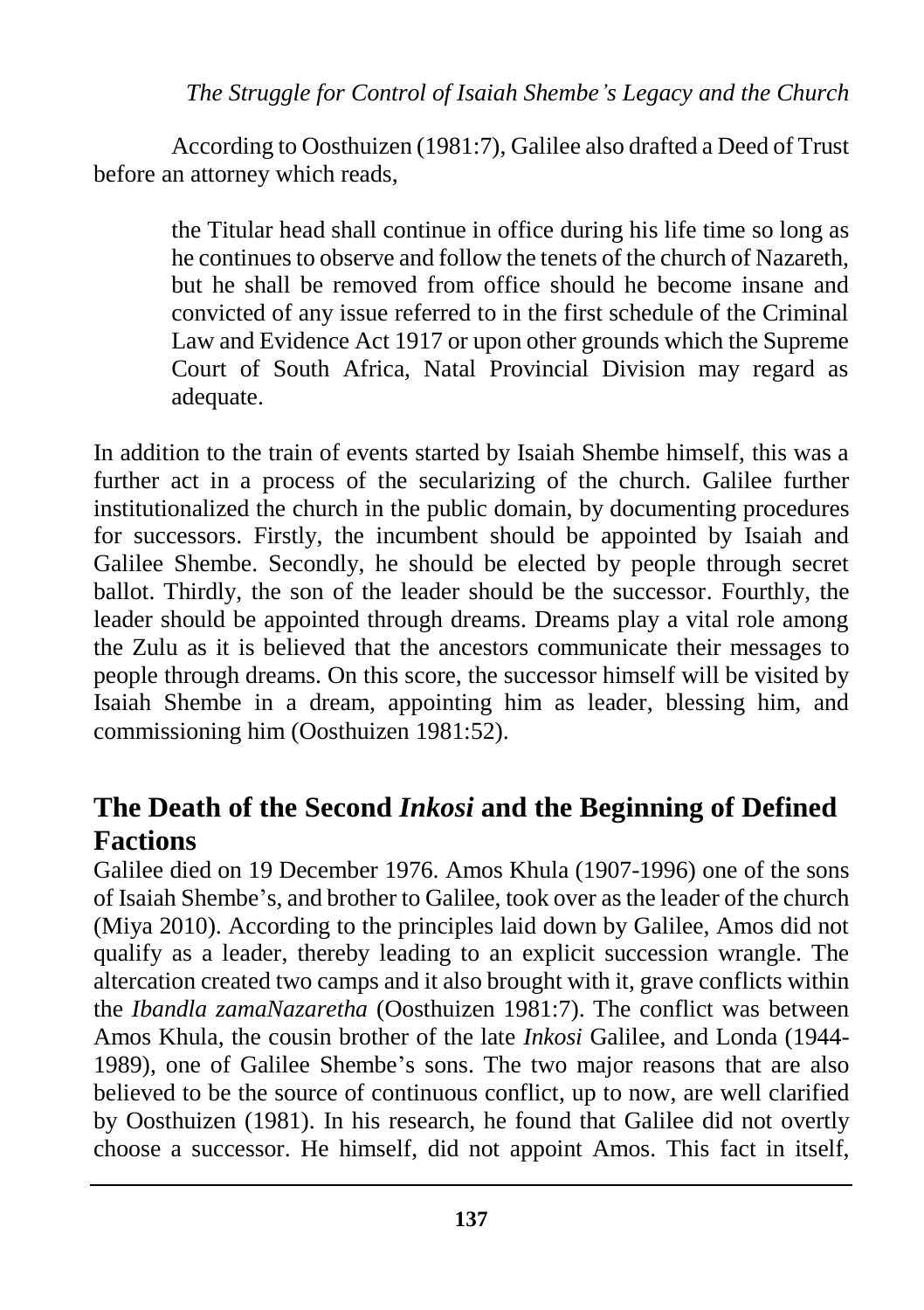#### *The Struggle for Control of Isaiah Shembe's Legacy and the Church*

According to Oosthuizen (1981:7), Galilee also drafted a Deed of Trust before an attorney which reads,

the Titular head shall continue in office during his life time so long as he continues to observe and follow the tenets of the church of Nazareth, but he shall be removed from office should he become insane and convicted of any issue referred to in the first schedule of the Criminal Law and Evidence Act 1917 or upon other grounds which the Supreme Court of South Africa, Natal Provincial Division may regard as adequate.

In addition to the train of events started by Isaiah Shembe himself, this was a further act in a process of the secularizing of the church. Galilee further institutionalized the church in the public domain, by documenting procedures for successors. Firstly, the incumbent should be appointed by Isaiah and Galilee Shembe. Secondly, he should be elected by people through secret ballot. Thirdly, the son of the leader should be the successor. Fourthly, the leader should be appointed through dreams. Dreams play a vital role among the Zulu as it is believed that the ancestors communicate their messages to people through dreams. On this score, the successor himself will be visited by Isaiah Shembe in a dream, appointing him as leader, blessing him, and commissioning him (Oosthuizen 1981:52).

### **The Death of the Second** *Inkosi* **and the Beginning of Defined Factions**

Galilee died on 19 December 1976. Amos Khula (1907-1996) one of the sons of Isaiah Shembe's, and brother to Galilee, took over as the leader of the church (Miya 2010). According to the principles laid down by Galilee, Amos did not qualify as a leader, thereby leading to an explicit succession wrangle. The altercation created two camps and it also brought with it, grave conflicts within the *Ibandla zamaNazaretha* (Oosthuizen 1981:7). The conflict was between Amos Khula, the cousin brother of the late *Inkosi* Galilee, and Londa (1944- 1989), one of Galilee Shembe's sons. The two major reasons that are also believed to be the source of continuous conflict, up to now, are well clarified by Oosthuizen (1981). In his research, he found that Galilee did not overtly choose a successor. He himself, did not appoint Amos. This fact in itself,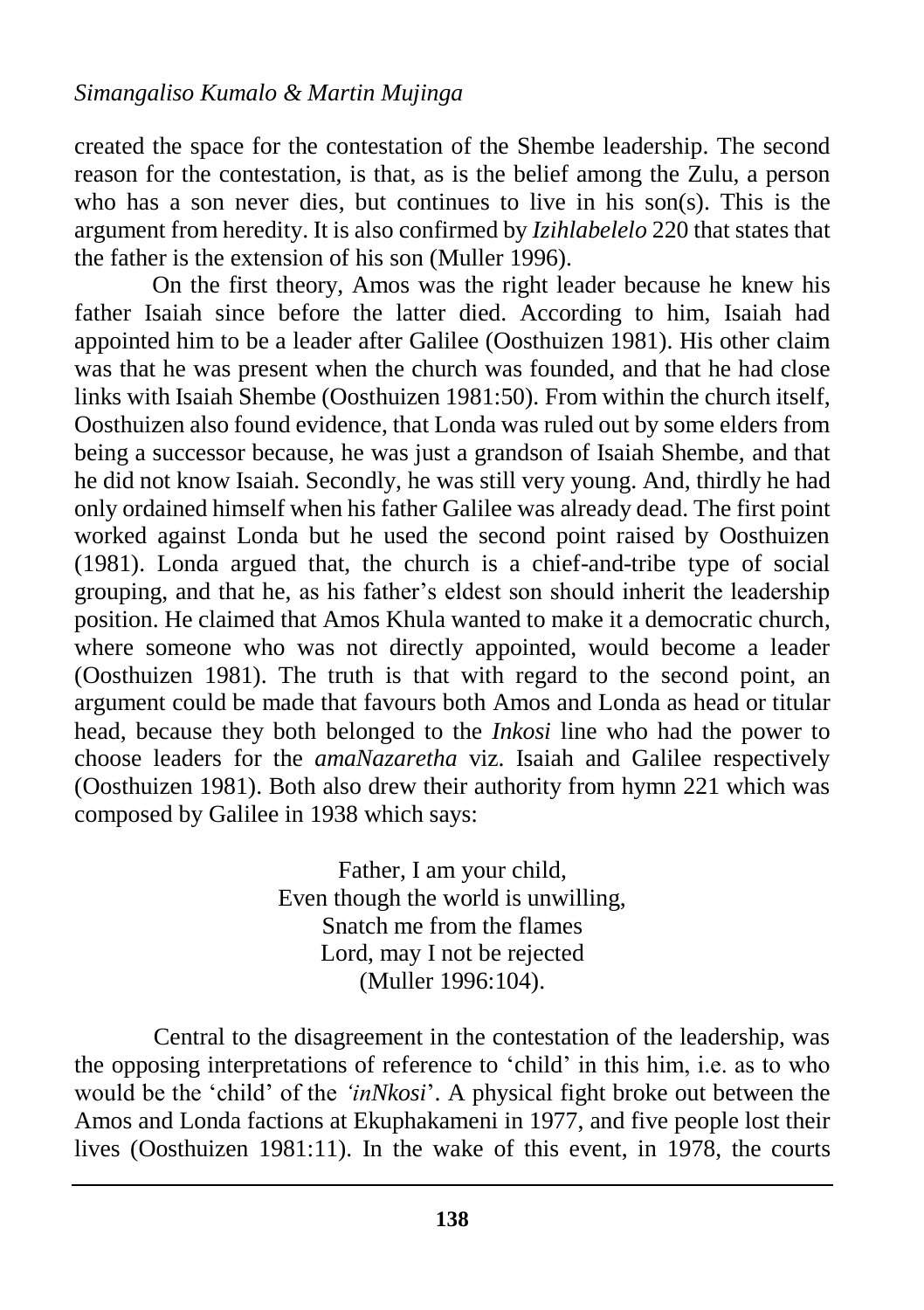created the space for the contestation of the Shembe leadership. The second reason for the contestation, is that, as is the belief among the Zulu, a person who has a son never dies, but continues to live in his son(s). This is the argument from heredity. It is also confirmed by *Izihlabelelo* 220 that states that the father is the extension of his son (Muller 1996).

On the first theory, Amos was the right leader because he knew his father Isaiah since before the latter died. According to him, Isaiah had appointed him to be a leader after Galilee (Oosthuizen 1981). His other claim was that he was present when the church was founded, and that he had close links with Isaiah Shembe (Oosthuizen 1981:50). From within the church itself, Oosthuizen also found evidence, that Londa was ruled out by some elders from being a successor because, he was just a grandson of Isaiah Shembe, and that he did not know Isaiah. Secondly, he was still very young. And, thirdly he had only ordained himself when his father Galilee was already dead. The first point worked against Londa but he used the second point raised by Oosthuizen (1981). Londa argued that, the church is a chief-and-tribe type of social grouping, and that he, as his father's eldest son should inherit the leadership position. He claimed that Amos Khula wanted to make it a democratic church, where someone who was not directly appointed, would become a leader (Oosthuizen 1981). The truth is that with regard to the second point, an argument could be made that favours both Amos and Londa as head or titular head, because they both belonged to the *Inkosi* line who had the power to choose leaders for the *amaNazaretha* viz. Isaiah and Galilee respectively (Oosthuizen 1981). Both also drew their authority from hymn 221 which was composed by Galilee in 1938 which says:

> Father, I am your child, Even though the world is unwilling, Snatch me from the flames Lord, may I not be rejected (Muller 1996:104).

Central to the disagreement in the contestation of the leadership, was the opposing interpretations of reference to 'child' in this him, i.e. as to who would be the 'child' of the *'inNkosi*'. A physical fight broke out between the Amos and Londa factions at Ekuphakameni in 1977, and five people lost their lives (Oosthuizen 1981:11). In the wake of this event, in 1978, the courts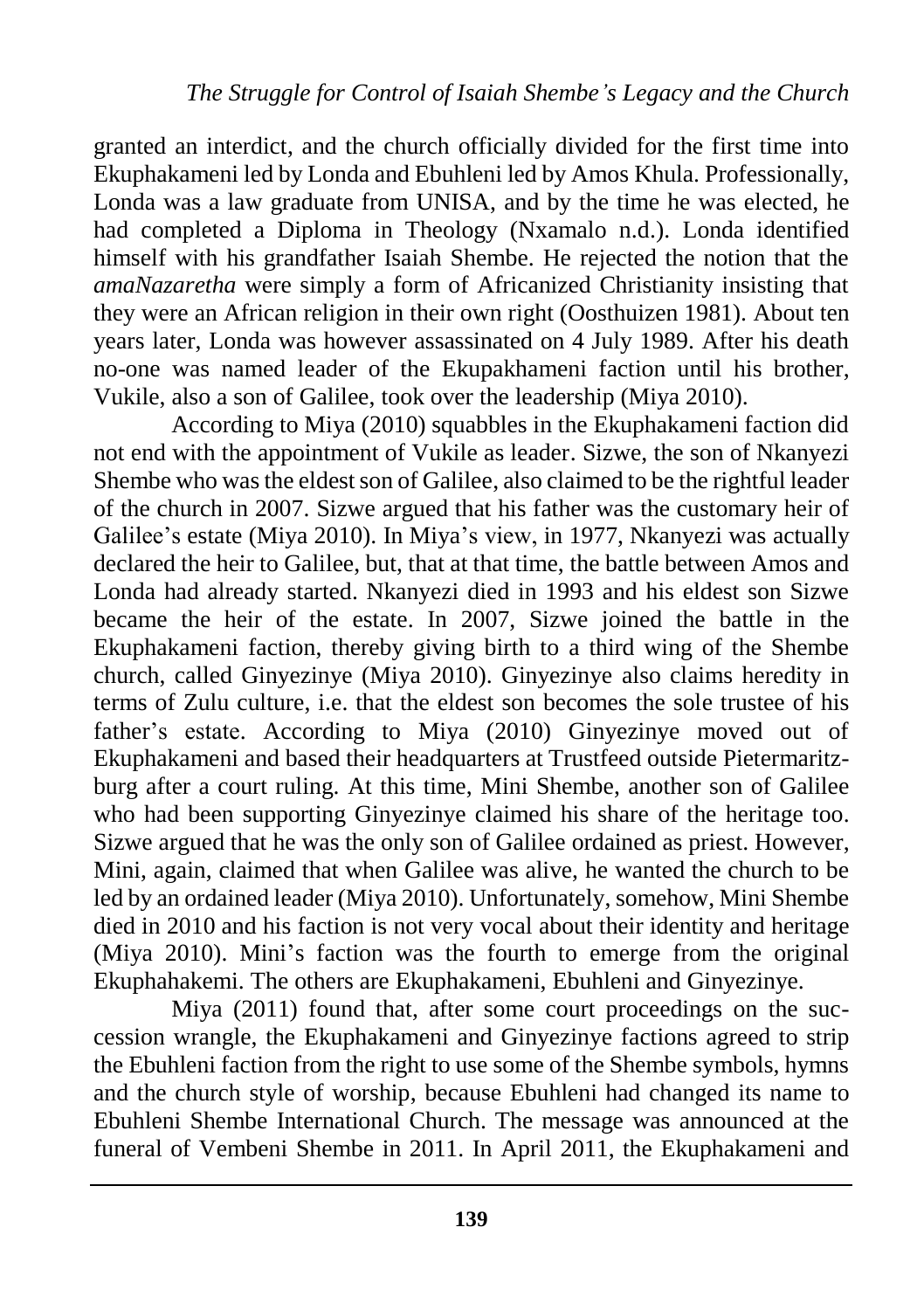granted an interdict, and the church officially divided for the first time into Ekuphakameni led by Londa and Ebuhleni led by Amos Khula. Professionally, Londa was a law graduate from UNISA, and by the time he was elected, he had completed a Diploma in Theology (Nxamalo n.d.). Londa identified himself with his grandfather Isaiah Shembe. He rejected the notion that the *amaNazaretha* were simply a form of Africanized Christianity insisting that they were an African religion in their own right (Oosthuizen 1981). About ten years later, Londa was however assassinated on 4 July 1989. After his death no-one was named leader of the Ekupakhameni faction until his brother, Vukile, also a son of Galilee, took over the leadership (Miya 2010).

According to Miya (2010) squabbles in the Ekuphakameni faction did not end with the appointment of Vukile as leader. Sizwe, the son of Nkanyezi Shembe who was the eldest son of Galilee, also claimed to be the rightful leader of the church in 2007. Sizwe argued that his father was the customary heir of Galilee's estate (Miya 2010). In Miya's view, in 1977, Nkanyezi was actually declared the heir to Galilee, but, that at that time, the battle between Amos and Londa had already started. Nkanyezi died in 1993 and his eldest son Sizwe became the heir of the estate. In 2007, Sizwe joined the battle in the Ekuphakameni faction, thereby giving birth to a third wing of the Shembe church, called Ginyezinye (Miya 2010). Ginyezinye also claims heredity in terms of Zulu culture, i.e. that the eldest son becomes the sole trustee of his father's estate. According to Miya (2010) Ginyezinye moved out of Ekuphakameni and based their headquarters at Trustfeed outside Pietermaritzburg after a court ruling. At this time, Mini Shembe, another son of Galilee who had been supporting Ginyezinye claimed his share of the heritage too. Sizwe argued that he was the only son of Galilee ordained as priest. However, Mini, again, claimed that when Galilee was alive, he wanted the church to be led by an ordained leader (Miya 2010). Unfortunately, somehow, Mini Shembe died in 2010 and his faction is not very vocal about their identity and heritage (Miya 2010). Mini's faction was the fourth to emerge from the original Ekuphahakemi. The others are Ekuphakameni, Ebuhleni and Ginyezinye.

Miya (2011) found that, after some court proceedings on the succession wrangle, the Ekuphakameni and Ginyezinye factions agreed to strip the Ebuhleni faction from the right to use some of the Shembe symbols, hymns and the church style of worship, because Ebuhleni had changed its name to Ebuhleni Shembe International Church. The message was announced at the funeral of Vembeni Shembe in 2011. In April 2011, the Ekuphakameni and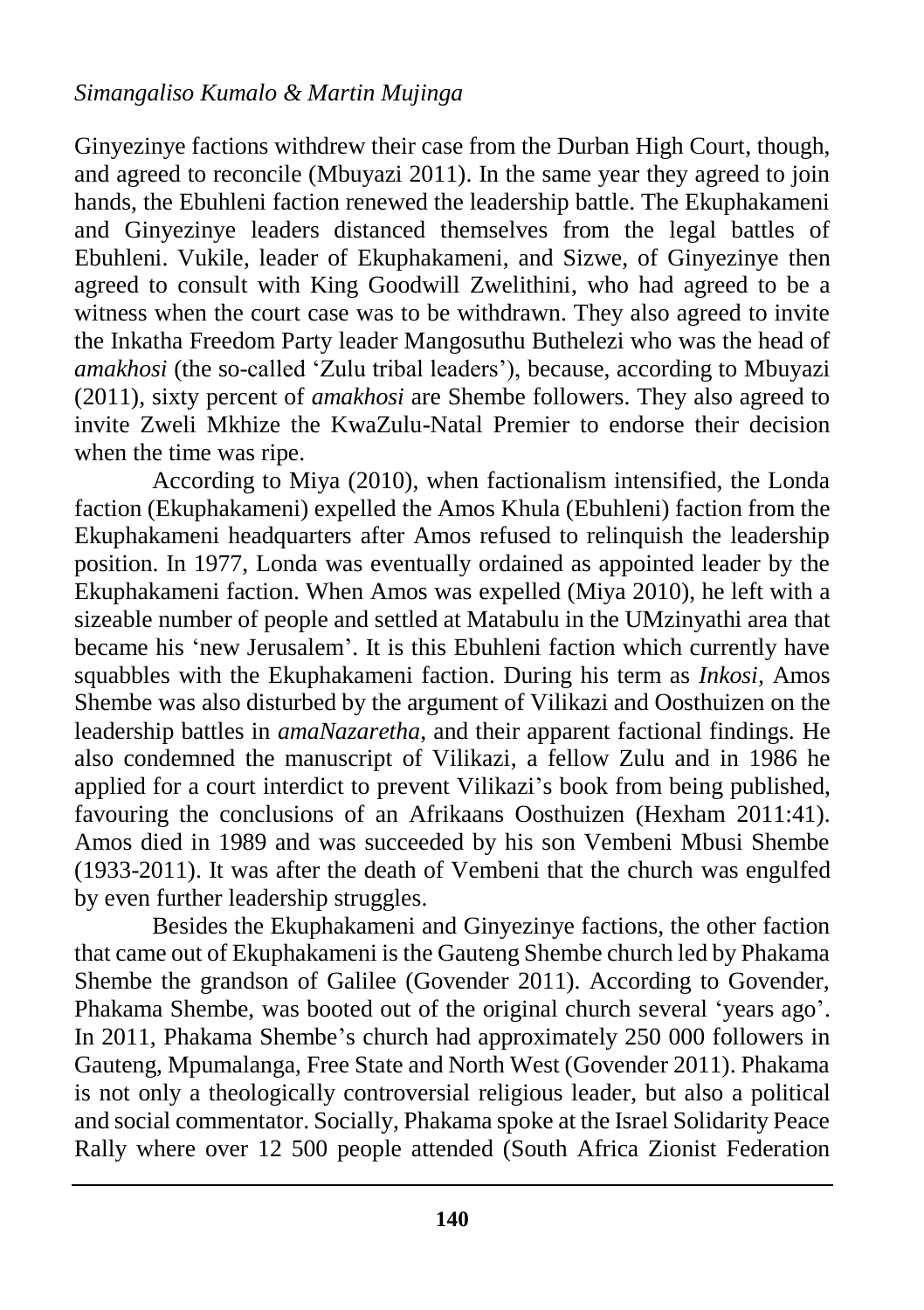Ginyezinye factions withdrew their case from the Durban High Court, though, and agreed to reconcile (Mbuyazi 2011). In the same year they agreed to join hands, the Ebuhleni faction renewed the leadership battle. The Ekuphakameni and Ginyezinye leaders distanced themselves from the legal battles of Ebuhleni. Vukile, leader of Ekuphakameni, and Sizwe, of Ginyezinye then agreed to consult with King Goodwill Zwelithini, who had agreed to be a witness when the court case was to be withdrawn. They also agreed to invite the Inkatha Freedom Party leader Mangosuthu Buthelezi who was the head of *amakhosi* (the so-called 'Zulu tribal leaders'), because, according to Mbuyazi (2011), sixty percent of *amakhosi* are Shembe followers. They also agreed to invite Zweli Mkhize the KwaZulu-Natal Premier to endorse their decision when the time was ripe.

According to Miya (2010), when factionalism intensified, the Londa faction (Ekuphakameni) expelled the Amos Khula (Ebuhleni) faction from the Ekuphakameni headquarters after Amos refused to relinquish the leadership position. In 1977, Londa was eventually ordained as appointed leader by the Ekuphakameni faction. When Amos was expelled (Miya 2010), he left with a sizeable number of people and settled at Matabulu in the UMzinyathi area that became his 'new Jerusalem'. It is this Ebuhleni faction which currently have squabbles with the Ekuphakameni faction. During his term as *Inkosi,* Amos Shembe was also disturbed by the argument of Vilikazi and Oosthuizen on the leadership battles in *amaNazaretha*, and their apparent factional findings. He also condemned the manuscript of Vilikazi, a fellow Zulu and in 1986 he applied for a court interdict to prevent Vilikazi's book from being published, favouring the conclusions of an Afrikaans Oosthuizen (Hexham 2011:41). Amos died in 1989 and was succeeded by his son Vembeni Mbusi Shembe (1933-2011). It was after the death of Vembeni that the church was engulfed by even further leadership struggles.

Besides the Ekuphakameni and Ginyezinye factions, the other faction that came out of Ekuphakameni is the Gauteng Shembe church led by Phakama Shembe the grandson of Galilee (Govender 2011). According to Govender, Phakama Shembe, was booted out of the original church several 'years ago'. In 2011, Phakama Shembe's church had approximately 250 000 followers in Gauteng, Mpumalanga, Free State and North West (Govender 2011). Phakama is not only a theologically controversial religious leader, but also a political and social commentator. Socially, Phakama spoke at the Israel Solidarity Peace Rally where over 12 500 people attended (South Africa Zionist Federation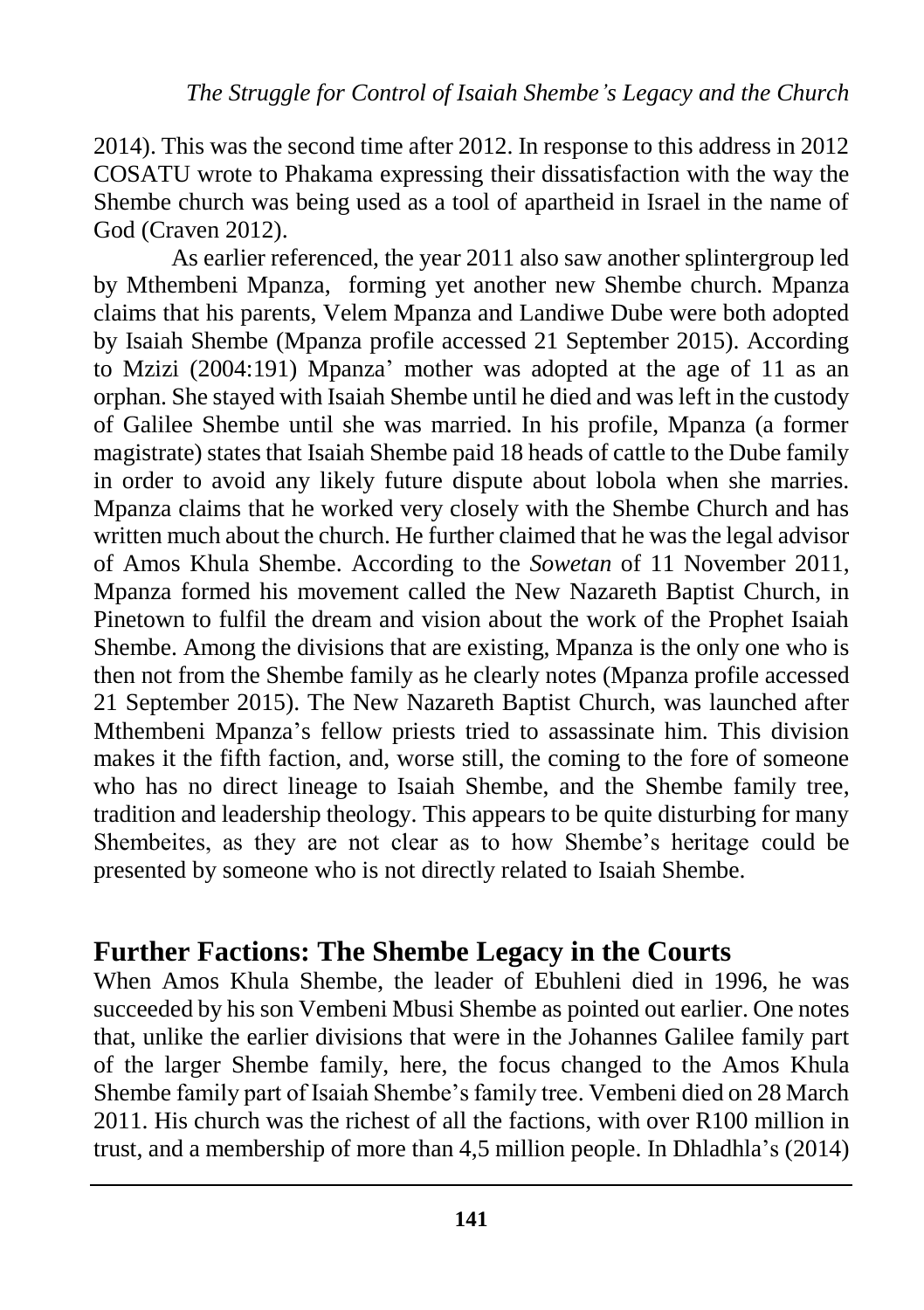2014). This was the second time after 2012. In response to this address in 2012 COSATU wrote to Phakama expressing their dissatisfaction with the way the Shembe church was being used as a tool of apartheid in Israel in the name of God (Craven 2012).

As earlier referenced, the year 2011 also saw another splintergroup led by Mthembeni Mpanza, forming yet another new Shembe church. Mpanza claims that his parents, Velem Mpanza and Landiwe Dube were both adopted by Isaiah Shembe (Mpanza profile accessed 21 September 2015). According to Mzizi (2004:191) Mpanza' mother was adopted at the age of 11 as an orphan. She stayed with Isaiah Shembe until he died and was left in the custody of Galilee Shembe until she was married. In his profile, Mpanza (a former magistrate) states that Isaiah Shembe paid 18 heads of cattle to the Dube family in order to avoid any likely future dispute about lobola when she marries. Mpanza claims that he worked very closely with the Shembe Church and has written much about the church. He further claimed that he was the legal advisor of Amos Khula Shembe. According to the *Sowetan* of 11 November 2011, Mpanza formed his movement called the New Nazareth Baptist Church, in Pinetown to fulfil the dream and vision about the work of the Prophet Isaiah Shembe. Among the divisions that are existing, Mpanza is the only one who is then not from the Shembe family as he clearly notes (Mpanza profile accessed 21 September 2015). The New Nazareth Baptist Church, was launched after Mthembeni Mpanza's fellow priests tried to assassinate him. This division makes it the fifth faction, and, worse still, the coming to the fore of someone who has no direct lineage to Isaiah Shembe, and the Shembe family tree, tradition and leadership theology. This appears to be quite disturbing for many Shembeites, as they are not clear as to how Shembe's heritage could be presented by someone who is not directly related to Isaiah Shembe.

#### **Further Factions: The Shembe Legacy in the Courts**

When Amos Khula Shembe, the leader of Ebuhleni died in 1996, he was succeeded by his son Vembeni Mbusi Shembe as pointed out earlier. One notes that, unlike the earlier divisions that were in the Johannes Galilee family part of the larger Shembe family, here, the focus changed to the Amos Khula Shembe family part of Isaiah Shembe's family tree. Vembeni died on 28 March 2011. His church was the richest of all the factions, with over R100 million in trust, and a membership of more than 4,5 million people. In Dhladhla's (2014)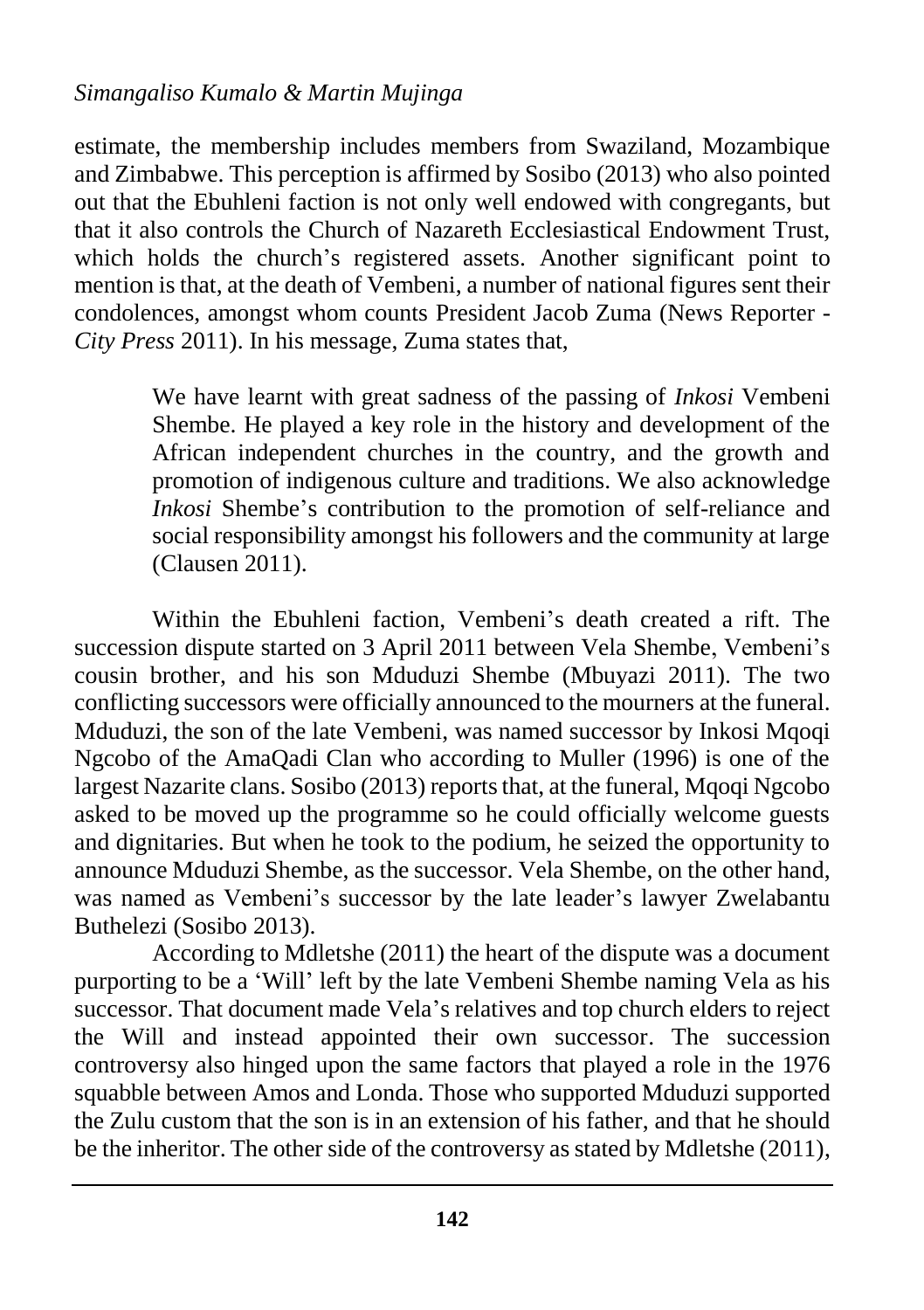#### *Simangaliso Kumalo & Martin Mujinga*

estimate, the membership includes members from Swaziland, Mozambique and Zimbabwe. This perception is affirmed by Sosibo (2013) who also pointed out that the Ebuhleni faction is not only well endowed with congregants, but that it also controls the Church of Nazareth Ecclesiastical Endowment Trust, which holds the church's registered assets. Another significant point to mention is that, at the death of Vembeni, a number of national figures sent their condolences, amongst whom counts President Jacob Zuma (News Reporter - *City Press* 2011). In his message, Zuma states that,

> We have learnt with great sadness of the passing of *Inkosi* Vembeni Shembe. He played a key role in the history and development of the African independent churches in the country, and the growth and promotion of indigenous culture and traditions. We also acknowledge *Inkosi* Shembe's contribution to the promotion of self-reliance and social responsibility amongst his followers and the community at large (Clausen 2011).

Within the Ebuhleni faction, Vembeni's death created a rift. The succession dispute started on 3 April 2011 between Vela Shembe, Vembeni's cousin brother, and his son Mduduzi Shembe (Mbuyazi 2011). The two conflicting successors were officially announced to the mourners at the funeral. Mduduzi, the son of the late Vembeni, was named successor by Inkosi Mqoqi Ngcobo of the AmaQadi Clan who according to Muller (1996) is one of the largest Nazarite clans. Sosibo (2013) reports that, at the funeral, Mqoqi Ngcobo asked to be moved up the programme so he could officially welcome guests and dignitaries. But when he took to the podium, he seized the opportunity to announce Mduduzi Shembe, as the successor. Vela Shembe, on the other hand, was named as Vembeni's successor by the late leader's lawyer Zwelabantu Buthelezi (Sosibo 2013).

According to Mdletshe (2011) the heart of the dispute was a document purporting to be a 'Will' left by the late Vembeni Shembe naming Vela as his successor. That document made Vela's relatives and top church elders to reject the Will and instead appointed their own successor. The succession controversy also hinged upon the same factors that played a role in the 1976 squabble between Amos and Londa. Those who supported Mduduzi supported the Zulu custom that the son is in an extension of his father, and that he should be the inheritor. The other side of the controversy as stated by Mdletshe (2011),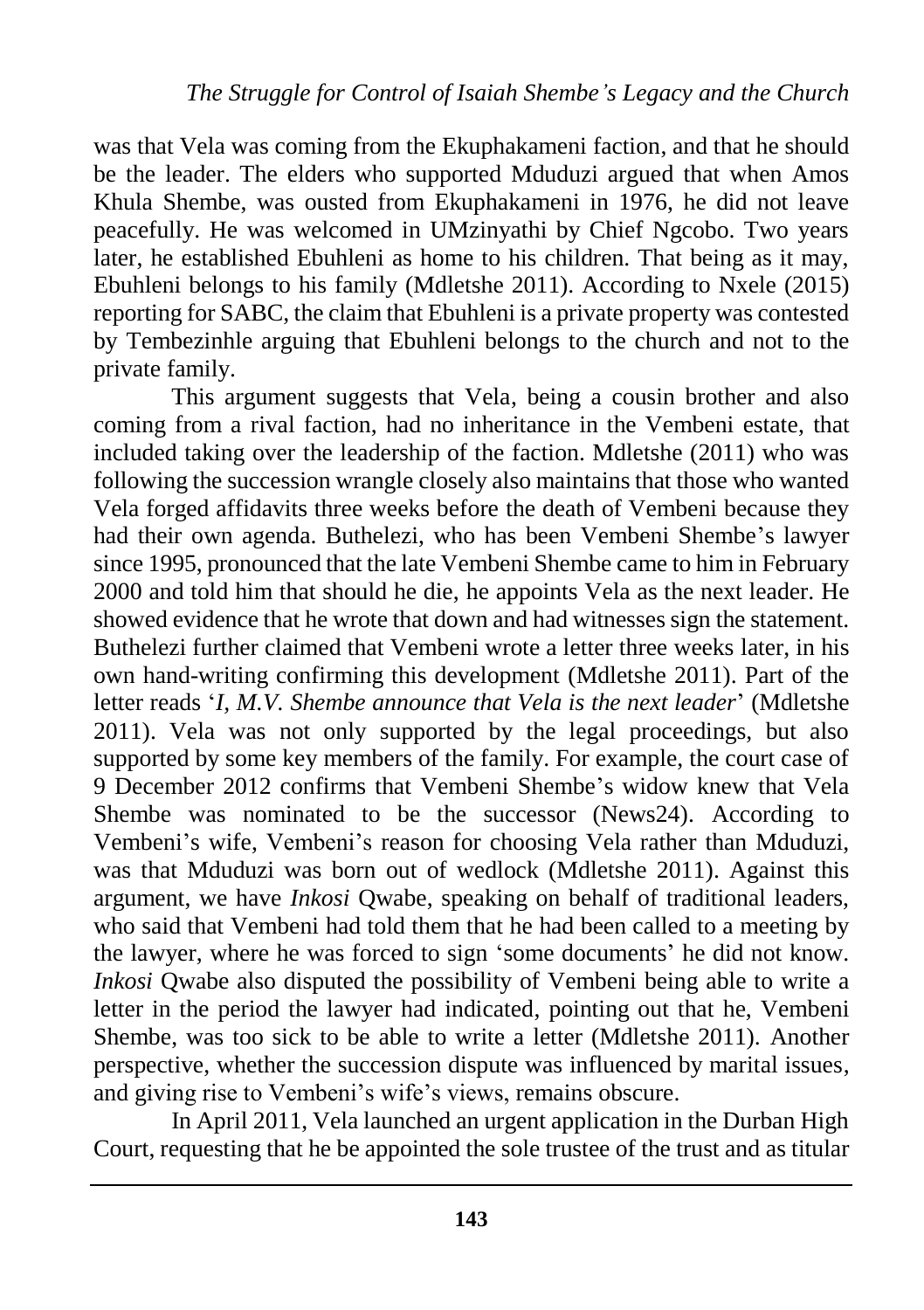was that Vela was coming from the Ekuphakameni faction, and that he should be the leader. The elders who supported Mduduzi argued that when Amos Khula Shembe, was ousted from Ekuphakameni in 1976, he did not leave peacefully. He was welcomed in UMzinyathi by Chief Ngcobo. Two years later, he established Ebuhleni as home to his children. That being as it may, Ebuhleni belongs to his family (Mdletshe 2011). According to Nxele (2015) reporting for SABC, the claim that Ebuhleni is a private property was contested by Tembezinhle arguing that Ebuhleni belongs to the church and not to the private family.

This argument suggests that Vela, being a cousin brother and also coming from a rival faction, had no inheritance in the Vembeni estate, that included taking over the leadership of the faction. Mdletshe (2011) who was following the succession wrangle closely also maintains that those who wanted Vela forged affidavits three weeks before the death of Vembeni because they had their own agenda. Buthelezi, who has been Vembeni Shembe's lawyer since 1995, pronounced that the late Vembeni Shembe came to him in February 2000 and told him that should he die, he appoints Vela as the next leader. He showed evidence that he wrote that down and had witnesses sign the statement. Buthelezi further claimed that Vembeni wrote a letter three weeks later, in his own hand-writing confirming this development (Mdletshe 2011). Part of the letter reads '*I, M.V. Shembe announce that Vela is the next leader*' (Mdletshe 2011). Vela was not only supported by the legal proceedings, but also supported by some key members of the family. For example, the court case of 9 December 2012 confirms that Vembeni Shembe's widow knew that Vela Shembe was nominated to be the successor (News24). According to Vembeni's wife, Vembeni's reason for choosing Vela rather than Mduduzi, was that Mduduzi was born out of wedlock (Mdletshe 2011). Against this argument, we have *Inkosi* Qwabe, speaking on behalf of traditional leaders, who said that Vembeni had told them that he had been called to a meeting by the lawyer, where he was forced to sign 'some documents' he did not know. *Inkosi* Qwabe also disputed the possibility of Vembeni being able to write a letter in the period the lawyer had indicated, pointing out that he, Vembeni Shembe, was too sick to be able to write a letter (Mdletshe 2011). Another perspective, whether the succession dispute was influenced by marital issues, and giving rise to Vembeni's wife's views, remains obscure.

In April 2011, Vela launched an urgent application in the Durban High Court, requesting that he be appointed the sole trustee of the trust and as titular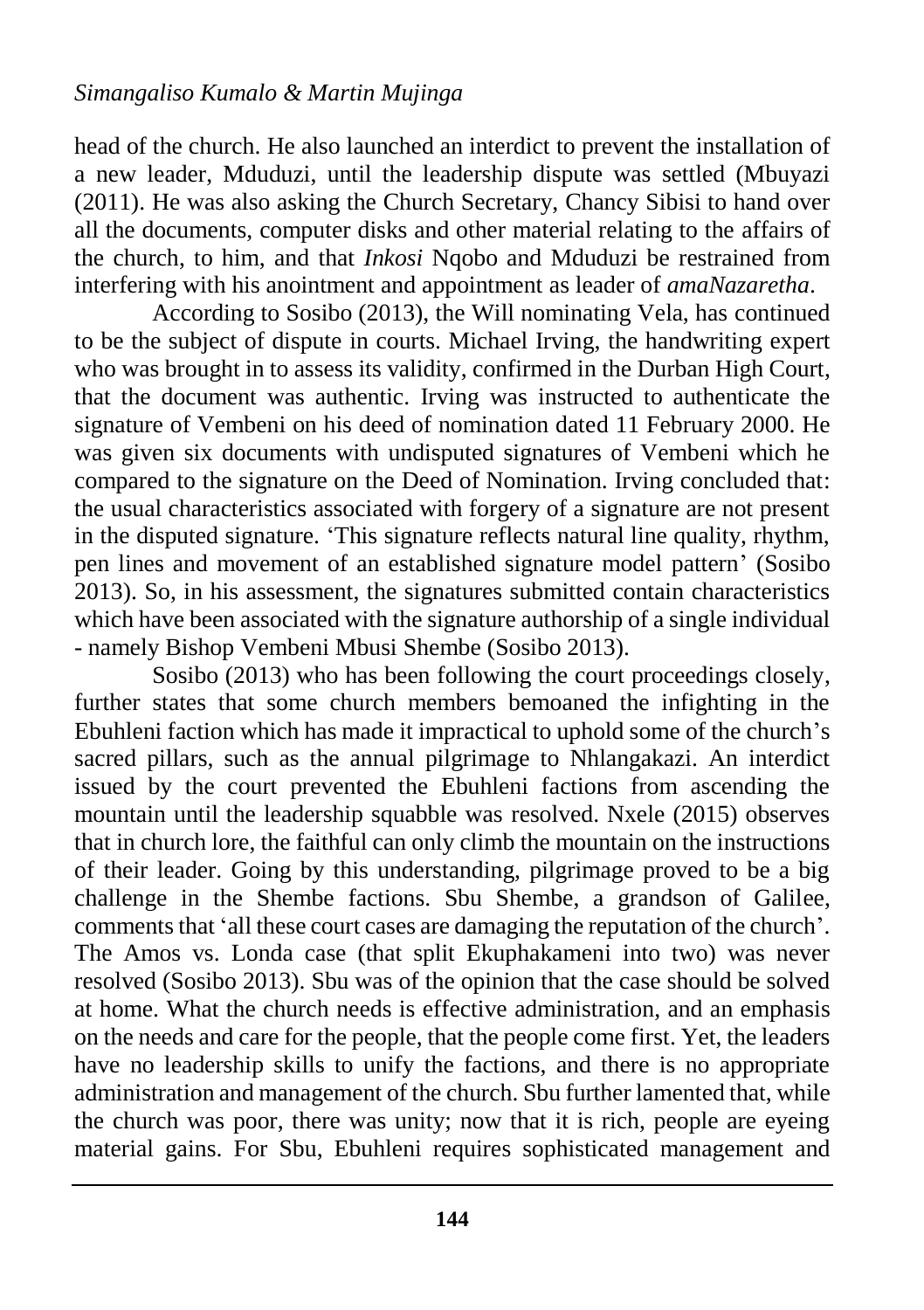head of the church. He also launched an interdict to prevent the installation of a new leader, Mduduzi, until the leadership dispute was settled (Mbuyazi (2011). He was also asking the Church Secretary, Chancy Sibisi to hand over all the documents, computer disks and other material relating to the affairs of the church, to him, and that *Inkosi* Nqobo and Mduduzi be restrained from interfering with his anointment and appointment as leader of *amaNazaretha*.

According to Sosibo (2013), the Will nominating Vela, has continued to be the subject of dispute in courts. Michael Irving, the handwriting expert who was brought in to assess its validity, confirmed in the Durban High Court, that the document was authentic. Irving was instructed to authenticate the signature of Vembeni on his deed of nomination dated 11 February 2000. He was given six documents with undisputed signatures of Vembeni which he compared to the signature on the Deed of Nomination. Irving concluded that: the usual characteristics associated with forgery of a signature are not present in the disputed signature. 'This signature reflects natural line quality, rhythm, pen lines and movement of an established signature model pattern' (Sosibo 2013). So, in his assessment, the signatures submitted contain characteristics which have been associated with the signature authorship of a single individual - namely Bishop Vembeni Mbusi Shembe (Sosibo 2013).

Sosibo (2013) who has been following the court proceedings closely, further states that some church members bemoaned the infighting in the Ebuhleni faction which has made it impractical to uphold some of the church's sacred pillars, such as the annual pilgrimage to Nhlangakazi. An interdict issued by the court prevented the Ebuhleni factions from ascending the mountain until the leadership squabble was resolved. Nxele (2015) observes that in church lore, the faithful can only climb the mountain on the instructions of their leader. Going by this understanding, pilgrimage proved to be a big challenge in the Shembe factions. Sbu Shembe, a grandson of Galilee, comments that 'all these court cases are damaging the reputation of the church'. The Amos vs. Londa case (that split Ekuphakameni into two) was never resolved (Sosibo 2013). Sbu was of the opinion that the case should be solved at home. What the church needs is effective administration, and an emphasis on the needs and care for the people, that the people come first. Yet, the leaders have no leadership skills to unify the factions, and there is no appropriate administration and management of the church. Sbu further lamented that, while the church was poor, there was unity; now that it is rich, people are eyeing material gains. For Sbu, Ebuhleni requires sophisticated management and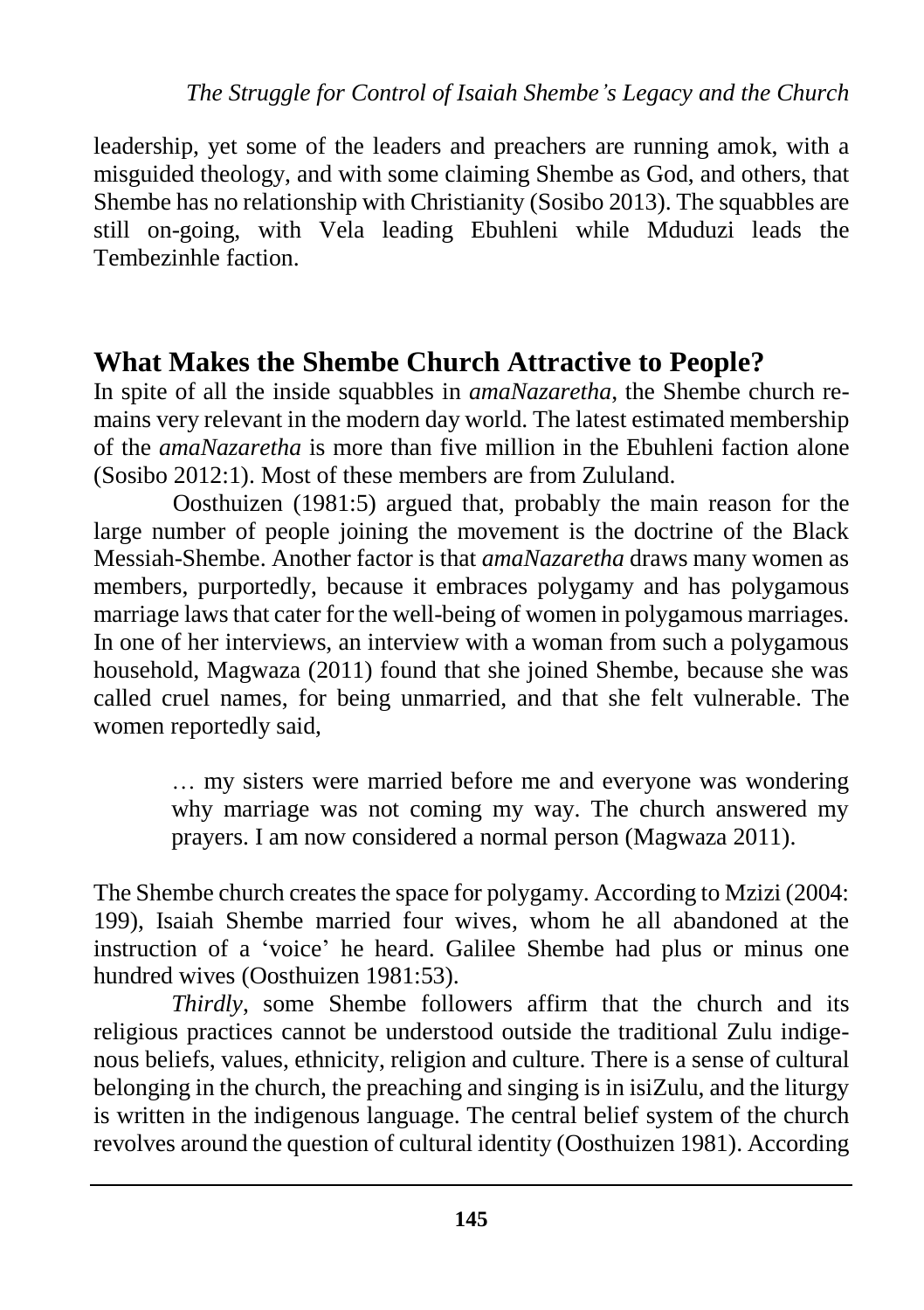leadership, yet some of the leaders and preachers are running amok, with a misguided theology, and with some claiming Shembe as God, and others, that Shembe has no relationship with Christianity (Sosibo 2013). The squabbles are still on-going, with Vela leading Ebuhleni while Mduduzi leads the Tembezinhle faction.

### **What Makes the Shembe Church Attractive to People?**

In spite of all the inside squabbles in *amaNazaretha*, the Shembe church remains very relevant in the modern day world. The latest estimated membership of the *amaNazaretha* is more than five million in the Ebuhleni faction alone (Sosibo 2012:1). Most of these members are from Zululand.

Oosthuizen (1981:5) argued that, probably the main reason for the large number of people joining the movement is the doctrine of the Black Messiah-Shembe. Another factor is that *amaNazaretha* draws many women as members, purportedly, because it embraces polygamy and has polygamous marriage laws that cater for the well-being of women in polygamous marriages. In one of her interviews, an interview with a woman from such a polygamous household, Magwaza (2011) found that she joined Shembe, because she was called cruel names, for being unmarried, and that she felt vulnerable. The women reportedly said,

> … my sisters were married before me and everyone was wondering why marriage was not coming my way. The church answered my prayers. I am now considered a normal person (Magwaza 2011).

The Shembe church creates the space for polygamy. According to Mzizi (2004: 199), Isaiah Shembe married four wives, whom he all abandoned at the instruction of a 'voice' he heard. Galilee Shembe had plus or minus one hundred wives (Oosthuizen 1981:53).

*Thirdly*, some Shembe followers affirm that the church and its religious practices cannot be understood outside the traditional Zulu indigenous beliefs, values, ethnicity, religion and culture. There is a sense of cultural belonging in the church, the preaching and singing is in isiZulu, and the liturgy is written in the indigenous language. The central belief system of the church revolves around the question of cultural identity (Oosthuizen 1981). According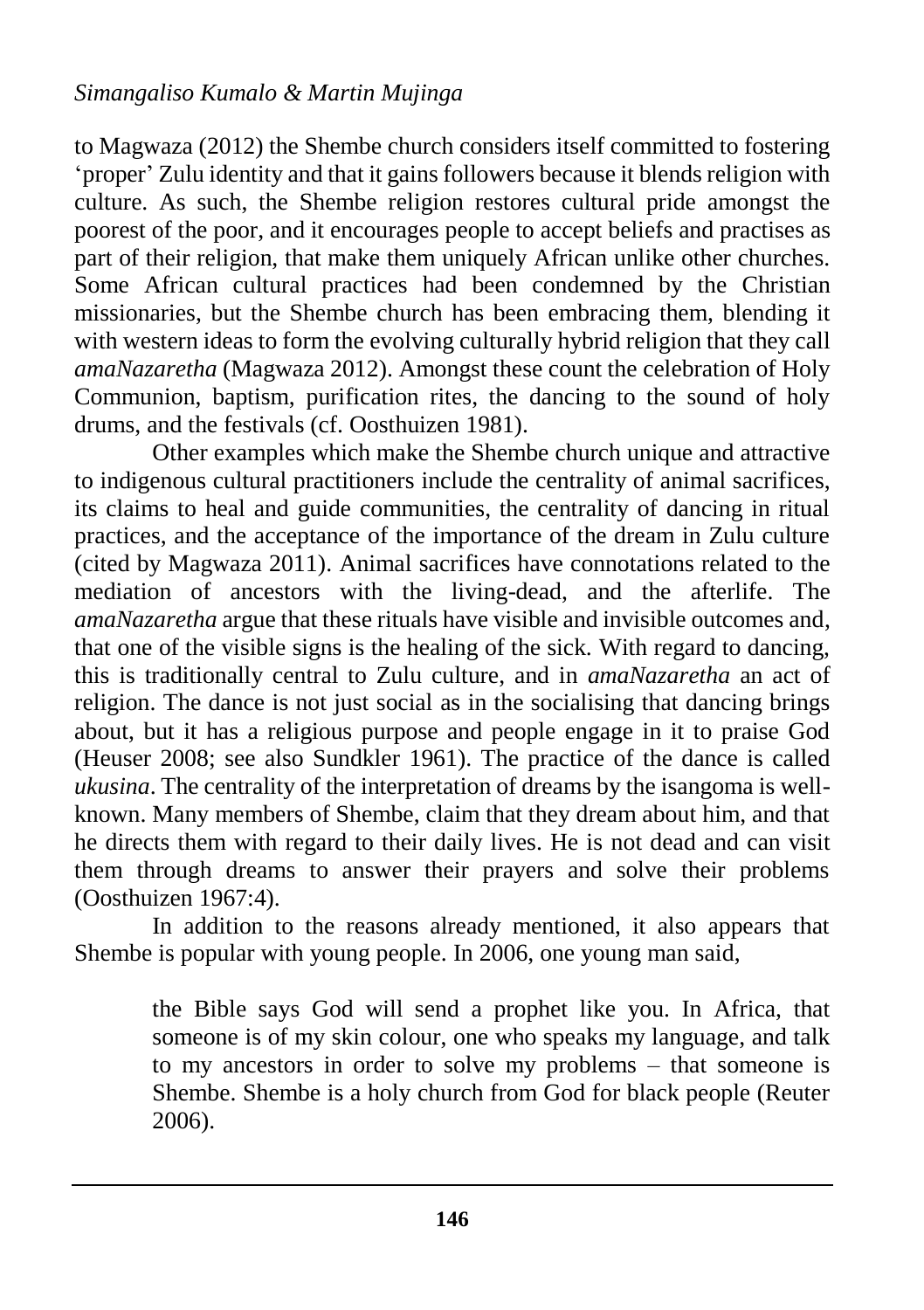to Magwaza (2012) the Shembe church considers itself committed to fostering 'proper' Zulu identity and that it gains followers because it blends religion with culture. As such, the Shembe religion restores cultural pride amongst the poorest of the poor, and it encourages people to accept beliefs and practises as part of their religion, that make them uniquely African unlike other churches. Some African cultural practices had been condemned by the Christian missionaries, but the Shembe church has been embracing them, blending it with western ideas to form the evolving culturally hybrid religion that they call *amaNazaretha* (Magwaza 2012). Amongst these count the celebration of Holy Communion, baptism, purification rites, the dancing to the sound of holy drums, and the festivals (cf. Oosthuizen 1981).

Other examples which make the Shembe church unique and attractive to indigenous cultural practitioners include the centrality of animal sacrifices, its claims to heal and guide communities, the centrality of dancing in ritual practices, and the acceptance of the importance of the dream in Zulu culture (cited by Magwaza 2011). Animal sacrifices have connotations related to the mediation of ancestors with the living-dead, and the afterlife. The *amaNazaretha* argue that these rituals have visible and invisible outcomes and, that one of the visible signs is the healing of the sick. With regard to dancing, this is traditionally central to Zulu culture, and in *amaNazaretha* an act of religion. The dance is not just social as in the socialising that dancing brings about, but it has a religious purpose and people engage in it to praise God (Heuser 2008; see also Sundkler 1961). The practice of the dance is called *ukusina*. The centrality of the interpretation of dreams by the isangoma is wellknown. Many members of Shembe, claim that they dream about him, and that he directs them with regard to their daily lives. He is not dead and can visit them through dreams to answer their prayers and solve their problems (Oosthuizen 1967:4).

In addition to the reasons already mentioned, it also appears that Shembe is popular with young people. In 2006, one young man said,

> the Bible says God will send a prophet like you. In Africa, that someone is of my skin colour, one who speaks my language, and talk to my ancestors in order to solve my problems – that someone is Shembe. Shembe is a holy church from God for black people (Reuter 2006).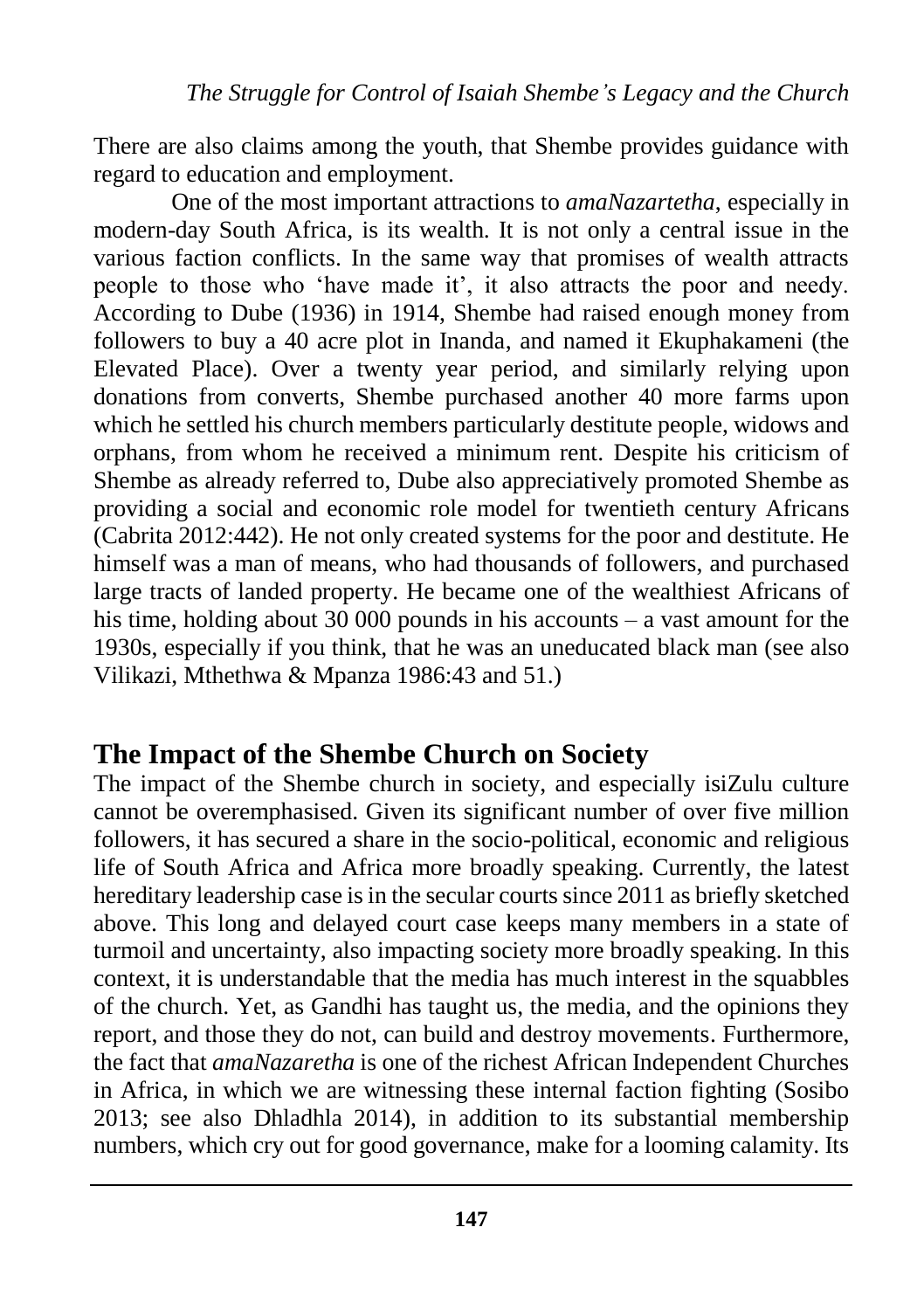There are also claims among the youth, that Shembe provides guidance with regard to education and employment.

One of the most important attractions to *amaNazartetha*, especially in modern-day South Africa, is its wealth. It is not only a central issue in the various faction conflicts. In the same way that promises of wealth attracts people to those who 'have made it', it also attracts the poor and needy. According to Dube (1936) in 1914, Shembe had raised enough money from followers to buy a 40 acre plot in Inanda, and named it Ekuphakameni (the Elevated Place). Over a twenty year period, and similarly relying upon donations from converts, Shembe purchased another 40 more farms upon which he settled his church members particularly destitute people, widows and orphans, from whom he received a minimum rent. Despite his criticism of Shembe as already referred to, Dube also appreciatively promoted Shembe as providing a social and economic role model for twentieth century Africans (Cabrita 2012:442). He not only created systems for the poor and destitute. He himself was a man of means, who had thousands of followers, and purchased large tracts of landed property. He became one of the wealthiest Africans of his time, holding about 30 000 pounds in his accounts – a vast amount for the 1930s, especially if you think, that he was an uneducated black man (see also Vilikazi, Mthethwa & Mpanza 1986:43 and 51.)

### **The Impact of the Shembe Church on Society**

The impact of the Shembe church in society, and especially isiZulu culture cannot be overemphasised. Given its significant number of over five million followers, it has secured a share in the socio-political, economic and religious life of South Africa and Africa more broadly speaking. Currently, the latest hereditary leadership case is in the secular courts since 2011 as briefly sketched above. This long and delayed court case keeps many members in a state of turmoil and uncertainty, also impacting society more broadly speaking. In this context, it is understandable that the media has much interest in the squabbles of the church. Yet, as Gandhi has taught us, the media, and the opinions they report, and those they do not, can build and destroy movements. Furthermore, the fact that *amaNazaretha* is one of the richest African Independent Churches in Africa, in which we are witnessing these internal faction fighting (Sosibo 2013; see also Dhladhla 2014), in addition to its substantial membership numbers, which cry out for good governance, make for a looming calamity. Its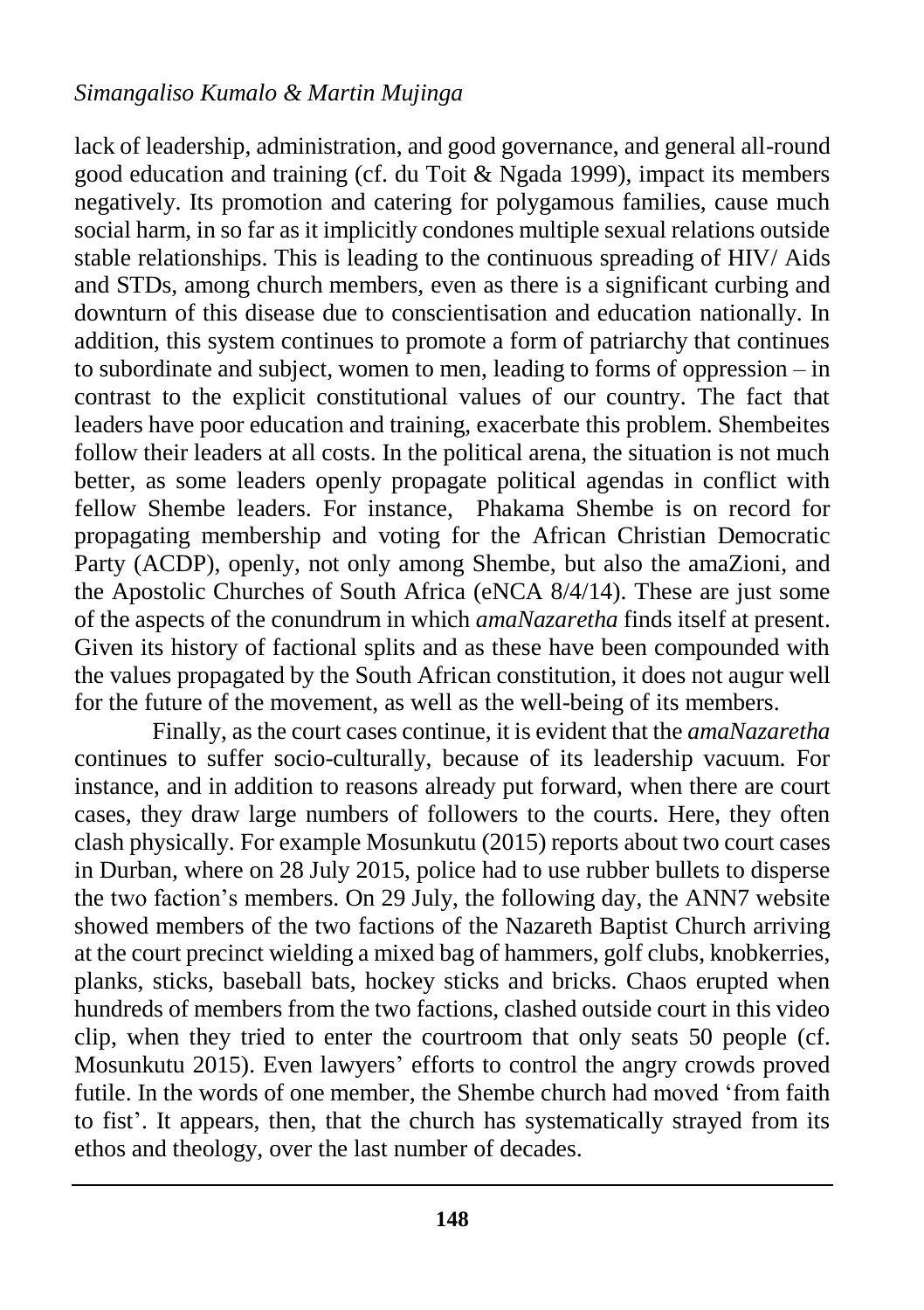#### *Simangaliso Kumalo & Martin Mujinga*

lack of leadership, administration, and good governance, and general all-round good education and training (cf. du Toit & Ngada 1999), impact its members negatively. Its promotion and catering for polygamous families, cause much social harm, in so far as it implicitly condones multiple sexual relations outside stable relationships. This is leading to the continuous spreading of HIV/ Aids and STDs, among church members, even as there is a significant curbing and downturn of this disease due to conscientisation and education nationally. In addition, this system continues to promote a form of patriarchy that continues to subordinate and subject, women to men, leading to forms of oppression – in contrast to the explicit constitutional values of our country. The fact that leaders have poor education and training, exacerbate this problem. Shembeites follow their leaders at all costs. In the political arena, the situation is not much better, as some leaders openly propagate political agendas in conflict with fellow Shembe leaders. For instance, Phakama Shembe is on record for propagating membership and voting for the African Christian Democratic Party (ACDP), openly, not only among Shembe, but also the amaZioni, and the Apostolic Churches of South Africa (eNCA 8/4/14). These are just some of the aspects of the conundrum in which *amaNazaretha* finds itself at present. Given its history of factional splits and as these have been compounded with the values propagated by the South African constitution, it does not augur well for the future of the movement, as well as the well-being of its members.

Finally, as the court cases continue, it is evident that the *amaNazaretha* continues to suffer socio-culturally, because of its leadership vacuum. For instance, and in addition to reasons already put forward, when there are court cases, they draw large numbers of followers to the courts. Here, they often clash physically. For example Mosunkutu (2015) reports about two court cases in Durban, where on 28 July 2015, police had to use rubber bullets to disperse the two faction's members. On 29 July, the following day, the ANN7 website showed members of the two factions of the Nazareth Baptist Church arriving at the court precinct wielding a mixed bag of hammers, golf clubs, knobkerries, planks, sticks, baseball bats, hockey sticks and bricks. Chaos erupted when hundreds of members from the two factions, clashed outside court in this video clip, when they tried to enter the courtroom that only seats 50 people (cf. Mosunkutu 2015). Even lawyers' efforts to control the angry crowds proved futile. In the words of one member, the Shembe church had moved 'from faith to fist'. It appears, then, that the church has systematically strayed from its ethos and theology, over the last number of decades.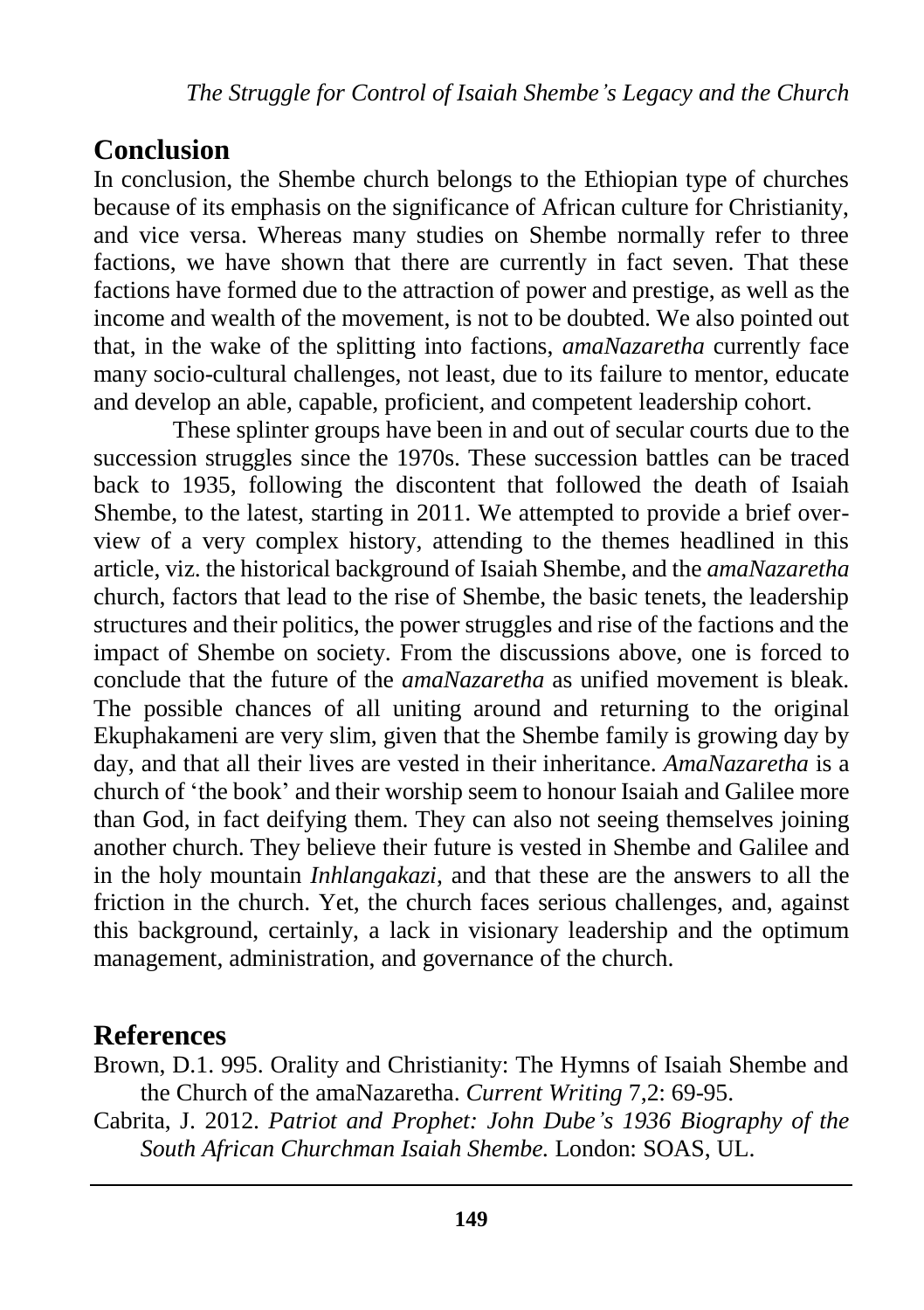### **Conclusion**

In conclusion, the Shembe church belongs to the Ethiopian type of churches because of its emphasis on the significance of African culture for Christianity, and vice versa. Whereas many studies on Shembe normally refer to three factions, we have shown that there are currently in fact seven. That these factions have formed due to the attraction of power and prestige, as well as the income and wealth of the movement, is not to be doubted. We also pointed out that, in the wake of the splitting into factions, *amaNazaretha* currently face many socio-cultural challenges, not least, due to its failure to mentor, educate and develop an able, capable, proficient, and competent leadership cohort.

These splinter groups have been in and out of secular courts due to the succession struggles since the 1970s. These succession battles can be traced back to 1935, following the discontent that followed the death of Isaiah Shembe, to the latest, starting in 2011. We attempted to provide a brief overview of a very complex history, attending to the themes headlined in this article, viz. the historical background of Isaiah Shembe, and the *amaNazaretha* church, factors that lead to the rise of Shembe, the basic tenets, the leadership structures and their politics, the power struggles and rise of the factions and the impact of Shembe on society. From the discussions above, one is forced to conclude that the future of the *amaNazaretha* as unified movement is bleak. The possible chances of all uniting around and returning to the original Ekuphakameni are very slim, given that the Shembe family is growing day by day, and that all their lives are vested in their inheritance. *AmaNazaretha* is a church of 'the book' and their worship seem to honour Isaiah and Galilee more than God, in fact deifying them. They can also not seeing themselves joining another church. They believe their future is vested in Shembe and Galilee and in the holy mountain *Inhlangakazi*, and that these are the answers to all the friction in the church. Yet, the church faces serious challenges, and, against this background, certainly, a lack in visionary leadership and the optimum management, administration, and governance of the church.

#### **References**

Brown, D.1. 995. Orality and Christianity: The Hymns of Isaiah Shembe and the Church of the amaNazaretha. *Current Writing* 7,2: 69-95.

Cabrita, J. 2012. *Patriot and Prophet: John Dube's 1936 Biography of the South African Churchman Isaiah Shembe.* London: SOAS, UL.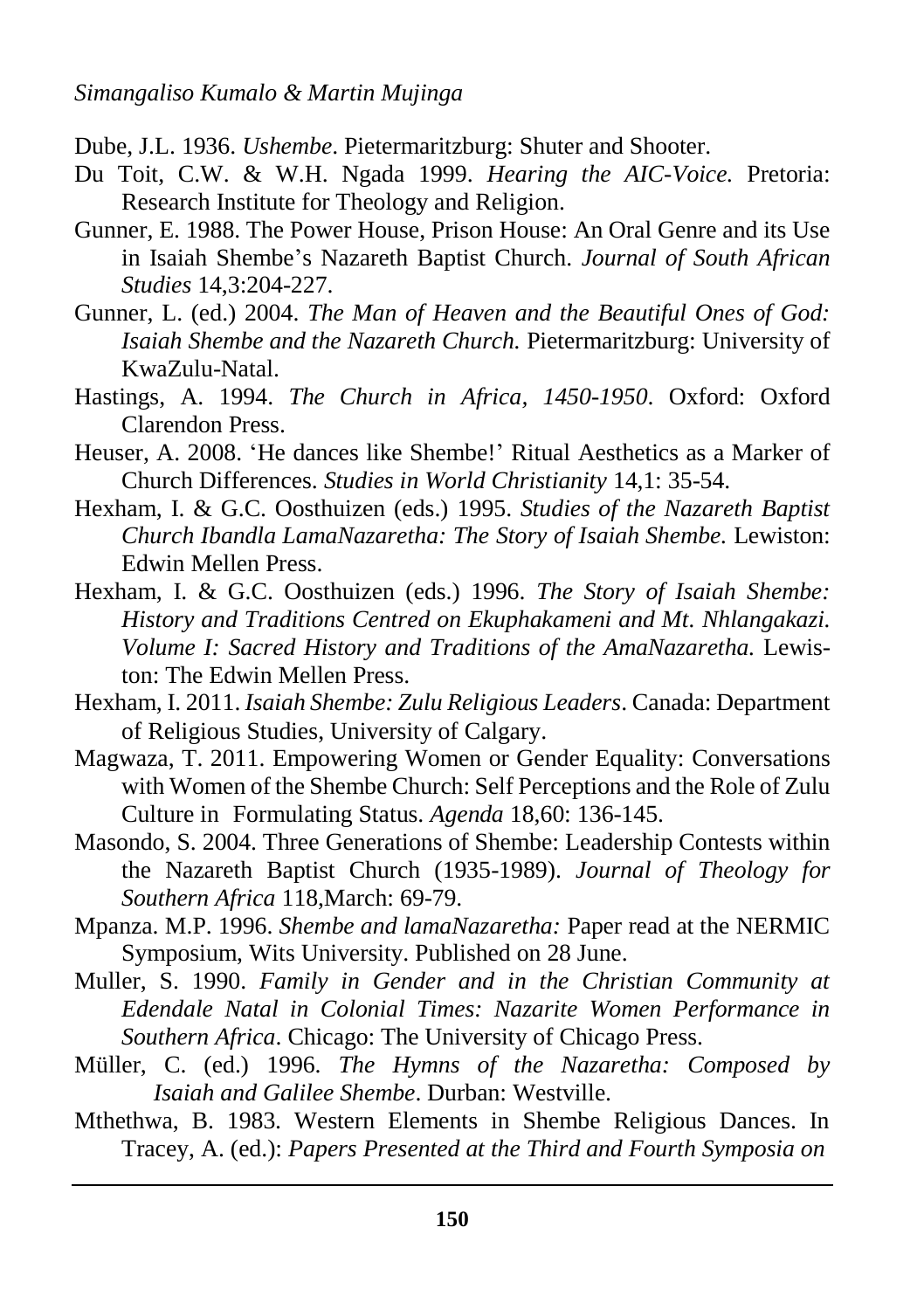- Dube, J.L. 1936. *Ushembe*. Pietermaritzburg: Shuter and Shooter.
- Du Toit, C.W. & W.H. Ngada 1999. *Hearing the AIC-Voice.* Pretoria: Research Institute for Theology and Religion.
- Gunner, E. 1988. The Power House, Prison House: An Oral Genre and its Use in Isaiah Shembe's Nazareth Baptist Church. *Journal of South African Studies* 14,3:204-227.
- Gunner, L. (ed.) 2004. *The Man of Heaven and the Beautiful Ones of God: Isaiah Shembe and the Nazareth Church.* Pietermaritzburg: University of KwaZulu-Natal.
- Hastings, A. 1994. *The Church in Africa, 1450-1950*. Oxford: Oxford Clarendon Press.
- Heuser, A. 2008. 'He dances like Shembe!' Ritual Aesthetics as a Marker of Church Differences. *Studies in World Christianity* 14,1: 35-54.
- Hexham, I. & G.C. Oosthuizen (eds.) 1995. *Studies of the Nazareth Baptist Church Ibandla LamaNazaretha: The Story of Isaiah Shembe.* Lewiston: Edwin Mellen Press.
- Hexham, I. & G.C. Oosthuizen (eds.) 1996. *The Story of Isaiah Shembe: History and Traditions Centred on Ekuphakameni and Mt. Nhlangakazi. Volume I: Sacred History and Traditions of the AmaNazaretha.* Lewiston: The Edwin Mellen Press.
- Hexham, I. 2011. *Isaiah Shembe: Zulu Religious Leaders*. Canada: Department of Religious Studies, University of Calgary.
- Magwaza, T. 2011. Empowering Women or Gender Equality: Conversations with Women of the Shembe Church: Self Perceptions and the Role of Zulu Culture in Formulating Status. *Agenda* 18,60: 136-145.
- Masondo, S. 2004. Three Generations of Shembe: Leadership Contests within the Nazareth Baptist Church (1935-1989). *Journal of Theology for Southern Africa* 118,March: 69-79.
- Mpanza. M.P. 1996. *Shembe and lamaNazaretha:* Paper read at the NERMIC Symposium, Wits University. Published on 28 June.
- Muller, S. 1990. *Family in Gender and in the Christian Community at Edendale Natal in Colonial Times: Nazarite Women Performance in Southern Africa*. Chicago: The University of Chicago Press.
- Müller, C. (ed.) 1996. *The Hymns of the Nazaretha: Composed by Isaiah and Galilee Shembe*. Durban: Westville.
- Mthethwa, B. 1983. Western Elements in Shembe Religious Dances. In Tracey, A. (ed.): *Papers Presented at the Third and Fourth Symposia on*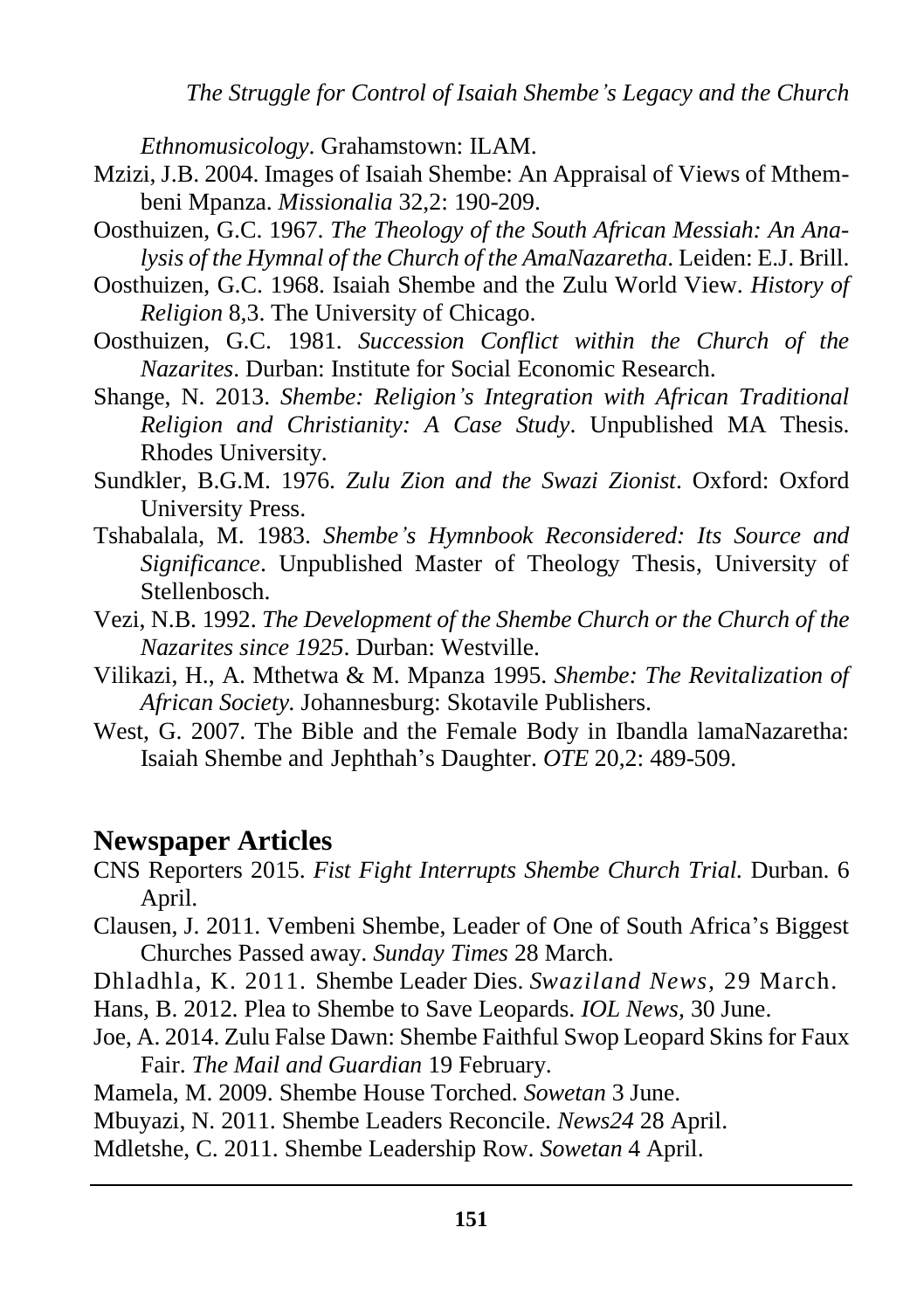*The Struggle for Control of Isaiah Shembe's Legacy and the Church*

*Ethnomusicology*. Grahamstown: ILAM.

- Mzizi, J.B. 2004. Images of Isaiah Shembe: An Appraisal of Views of Mthembeni Mpanza. *Missionalia* 32,2: 190-209.
- Oosthuizen, G.C. 1967. *The Theology of the South African Messiah: An Analysis of the Hymnal of the Church of the AmaNazaretha*. Leiden: E.J. Brill.
- Oosthuizen, G.C. 1968. Isaiah Shembe and the Zulu World View. *History of Religion* 8,3. The University of Chicago.
- Oosthuizen, G.C. 1981. *Succession Conflict within the Church of the Nazarites*. Durban: Institute for Social Economic Research.
- Shange, N. 2013. *Shembe: Religion's Integration with African Traditional Religion and Christianity: A Case Study*. Unpublished MA Thesis. Rhodes University.
- Sundkler, B.G.M. 1976. *Zulu Zion and the Swazi Zionist*. Oxford: Oxford University Press.
- Tshabalala, M. 1983. *Shembe's Hymnbook Reconsidered: Its Source and Significance*. Unpublished Master of Theology Thesis, University of Stellenbosch.
- Vezi, N.B. 1992. *The Development of the Shembe Church or the Church of the Nazarites since 1925*. Durban: Westville.
- Vilikazi, H., A. Mthetwa & M. Mpanza 1995. *Shembe: The Revitalization of African Society.* Johannesburg: Skotavile Publishers.
- West, G. 2007. The Bible and the Female Body in Ibandla lamaNazaretha: Isaiah Shembe and Jephthah's Daughter. *OTE* 20,2: 489-509.

#### **Newspaper Articles**

- CNS Reporters 2015. *[Fist Fight Interrupts Shembe Church Trial.](file:///C:/Users/user/Desktop/SHEMBE/Fist%20fight%20interrupts%20Shembe%20church%20trial%20_%20The%20Citizen_files/Fist%20fight%20interrupts%20Shembe%20church%20trial%20_%20The%20Citizen.html)* Durban. 6 April.
- Clausen, J. 2011. Vembeni Shembe, Leader of One of South Africa's Biggest Churches Passed away. *Sunday Times* 28 March.
- Dhladhla, K. 2011. Shembe Leader Dies. *Swaziland News,* 29 March.
- Hans, B. 2012. Plea to Shembe to Save Leopards. *IOL News,* 30 June.
- Joe, A. 2014. Zulu False Dawn: Shembe Faithful Swop Leopard Skins for Faux Fair. *The Mail and Guardian* 19 February.
- Mamela, M. 2009. Shembe House Torched. *Sowetan* 3 June.

Mbuyazi, N. 2011. Shembe Leaders Reconcile. *News24* 28 April.

Mdletshe, C. 2011. Shembe Leadership Row. *Sowetan* 4 April.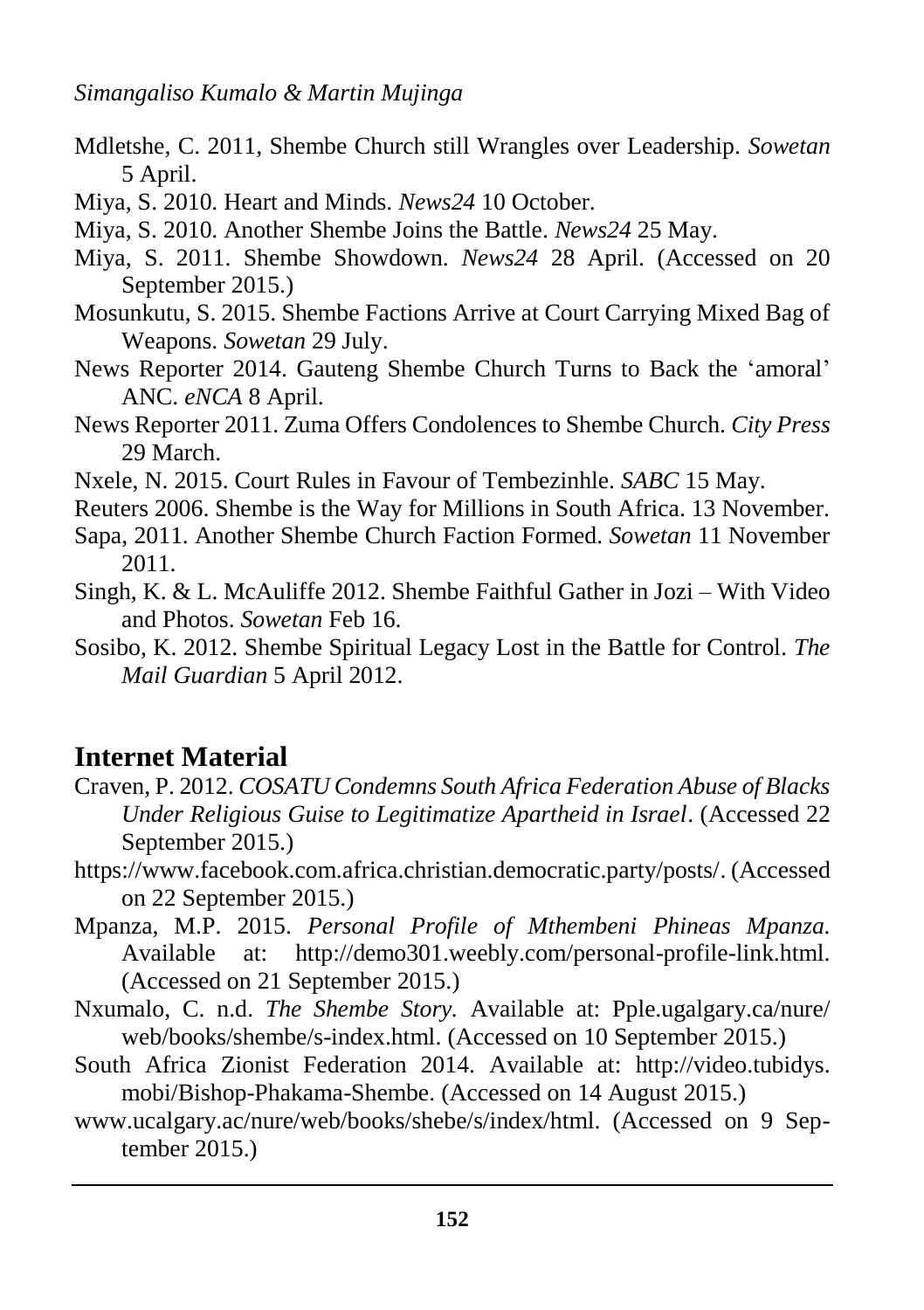- Mdletshe, C. 2011, Shembe Church still Wrangles over Leadership. *Sowetan* 5 April.
- Miya, S. 2010. Heart and Minds. *News24* 10 October.
- Miya, S. 2010. Another Shembe Joins the Battle. *News24* 25 May.
- Miya, S. 2011. Shembe Showdown. *News24* 28 April. (Accessed on 20 September 2015.)
- Mosunkutu, S. 2015. Shembe Factions Arrive at Court Carrying Mixed Bag of Weapons. *Sowetan* 29 July.
- News Reporter 2014. Gauteng Shembe Church Turns to Back the 'amoral' ANC. *eNCA* 8 April.
- News Reporter 2011. Zuma Offers Condolences to Shembe Church. *City Press* 29 March.
- Nxele, N. 2015. Court Rules in Favour of Tembezinhle. *SABC* 15 May.
- Reuters 2006. Shembe is the Way for Millions in South Africa. 13 November.
- Sapa, 2011. Another Shembe Church Faction Formed. *Sowetan* 11 November 2011.
- Singh, K. & L. McAuliffe 2012. Shembe Faithful Gather in Jozi With Video and Photos. *Sowetan* Feb 16.
- Sosibo, K. 2012. Shembe Spiritual Legacy Lost in the Battle for Control*. The Mail Guardian* 5 April 2012.

# **Internet Material**

- Craven, P. 2012. *COSATU Condemns South Africa Federation Abuse of Blacks Under Religious Guise to Legitimatize Apartheid in Israel*. (Accessed 22 September 2015.)
- [https://www.facebook.com.africa.christian.democratic.party/posts/.](https://www.facebook.com.africa.christian.democratic.party/posts/) (Accessed on 22 September 2015.)
- Mpanza, M.P. 2015. *Personal Profile of Mthembeni Phineas Mpanza.*  Available at: [http://demo301.weebly.com/personal-profile-link.html.](http://demo301.weebly.com/personal-profile-link.html) (Accessed on 21 September 2015.)
- Nxumalo, C. n.d. *The Shembe Story.* Available at: Pple.ugalgary.ca/nure/ web/books/shembe/s-index.html. (Accessed on 10 September 2015.)
- South Africa Zionist Federation 2014. Available at: http://video.tubidys. mobi/Bishop-Phakama-Shembe. (Accessed on 14 August 2015.)
- [www.ucalgary.ac/nure/web/books/shebe/s/index/html. \(Accessed on 9 Sep](http://www.ucalgary.ac/nure/web/books/shebe/s/index/html.%20(Accessed%20on%209%20Sep-tember%202015)[tember 2015.](http://www.ucalgary.ac/nure/web/books/shebe/s/index/html.%20(Accessed%20on%209%20Sep-tember%202015))